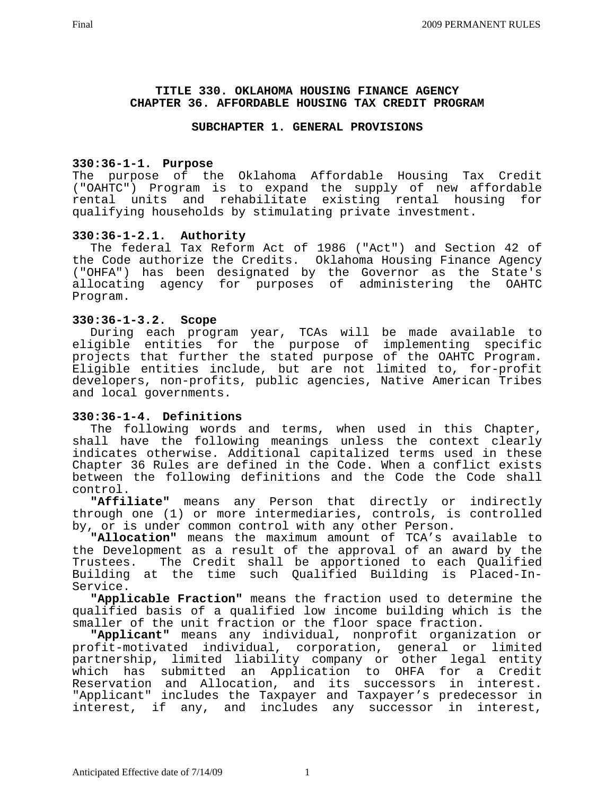#### **TITLE 330. OKLAHOMA HOUSING FINANCE AGENCY CHAPTER 36. AFFORDABLE HOUSING TAX CREDIT PROGRAM**

#### **SUBCHAPTER 1. GENERAL PROVISIONS**

### **330:36-1-1. Purpose**

The purpose of the Oklahoma Affordable Housing Tax Credit ("OAHTC") Program is to expand the supply of new affordable rental units and rehabilitate existing rental housing for qualifying households by stimulating private investment.

### **330:36-1-2.1. Authority**

 The federal Tax Reform Act of 1986 ("Act") and Section 42 of the Code authorize the Credits. Oklahoma Housing Finance Agency ("OHFA") has been designated by the Governor as the State's allocating agency for purposes of administering the OAHTC Program.

#### **330:36-1-3.2. Scope**

 During each program year, TCAs will be made available to eligible entities for the purpose of implementing specific projects that further the stated purpose of the OAHTC Program. Eligible entities include, but are not limited to, for-profit developers, non-profits, public agencies, Native American Tribes and local governments.

### **330:36-1-4. Definitions**

 The following words and terms, when used in this Chapter, shall have the following meanings unless the context clearly indicates otherwise. Additional capitalized terms used in these Chapter 36 Rules are defined in the Code. When a conflict exists between the following definitions and the Code the Code shall control.

 **"Affiliate"** means any Person that directly or indirectly through one (1) or more intermediaries, controls, is controlled by, or is under common control with any other Person.

 **"Allocation"** means the maximum amount of TCA's available to the Development as a result of the approval of an award by the Trustees. The Credit shall be apportioned to each Qualified Building at the time such Qualified Building is Placed-In-Service.

 **"Applicable Fraction"** means the fraction used to determine the qualified basis of a qualified low income building which is the smaller of the unit fraction or the floor space fraction.

 **"Applicant"** means any individual, nonprofit organization or profit-motivated individual, corporation, general or limited partnership, limited liability company or other legal entity which has submitted an Application to OHFA for a Credit Reservation and Allocation, and its successors in interest. "Applicant" includes the Taxpayer and Taxpayer's predecessor in interest, if any, and includes any successor in interest,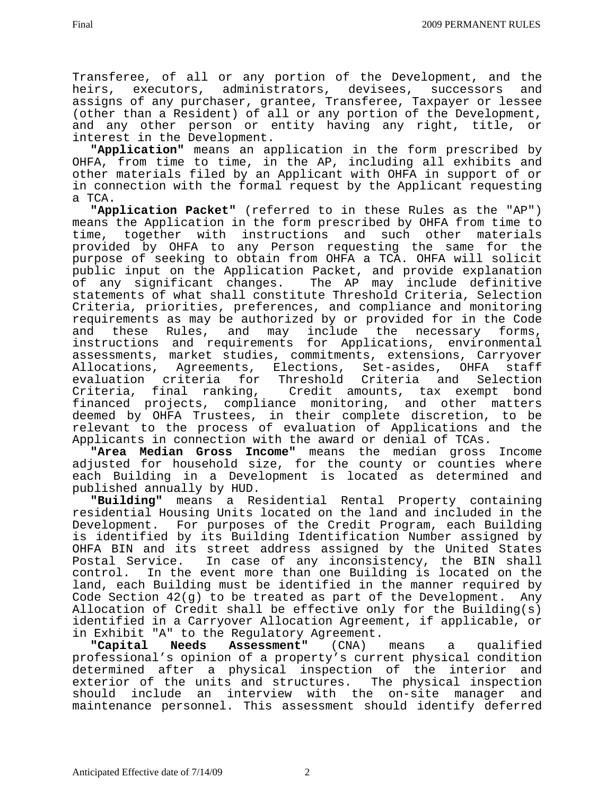Transferee, of all or any portion of the Development, and the heirs, executors, administrators, devisees, successors and assigns of any purchaser, grantee, Transferee, Taxpayer or lessee (other than a Resident) of all or any portion of the Development, and any other person or entity having any right, title, or interest in the Development.

 **"Application"** means an application in the form prescribed by OHFA, from time to time, in the AP, including all exhibits and other materials filed by an Applicant with OHFA in support of or in connection with the formal request by the Applicant requesting a TCA.

 **"Application Packet"** (referred to in these Rules as the "AP") means the Application in the form prescribed by OHFA from time to time, together with instructions and such other materials provided by OHFA to any Person requesting the same for the purpose of seeking to obtain from OHFA a TCA. OHFA will solicit public input on the Application Packet, and provide explanation of any significant changes. The AP may include definitive statements of what shall constitute Threshold Criteria, Selection Criteria, priorities, preferences, and compliance and monitoring requirements as may be authorized by or provided for in the Code and these Rules, and may include the necessary forms, instructions and requirements for Applications, environmental assessments, market studies, commitments, extensions, Carryover<br>Allocations, Agreements, Elections, Set-asides, OHFA staff Allocations, Agreements, Elections, Set-asides, OHFA evaluation criteria for Threshold Criteria and Selection Credit amounts, tax exempt bond financed projects, compliance monitoring, and other matters deemed by OHFA Trustees, in their complete discretion, to be relevant to the process of evaluation of Applications and the Applicants in connection with the award or denial of TCAs.

 **"Area Median Gross Income"** means the median gross Income adjusted for household size, for the county or counties where each Building in a Development is located as determined and published annually by HUD.

 **"Building"** means a Residential Rental Property containing residential Housing Units located on the land and included in the Development. For purposes of the Credit Program, each Building is identified by its Building Identification Number assigned by OHFA BIN and its street address assigned by the United States Postal Service. In case of any inconsistency, the BIN shall control. In the event more than one Building is located on the In the event more than one Building is located on the land, each Building must be identified in the manner required by Code Section 42(g) to be treated as part of the Development. Any Allocation of Credit shall be effective only for the Building(s) identified in a Carryover Allocation Agreement, if applicable, or in Exhibit "A" to the Regulatory Agreement.<br>"Capital Needs Assessment" (CNA)

**Assessment"** (CNA) means a qualified professional's opinion of a property's current physical condition determined after a physical inspection of the interior and exterior of the units and structures. The physical inspection should include an interview with the on-site manager and maintenance personnel. This assessment should identify deferred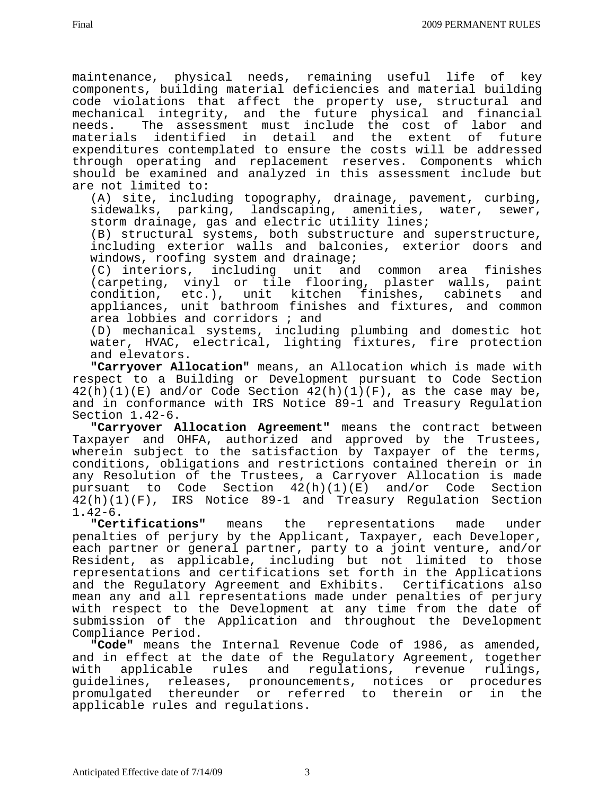maintenance, physical needs, remaining useful life of key components, building material deficiencies and material building code violations that affect the property use, structural and mechanical integrity, and the future physical and financial needs. The assessment must include the cost of labor and materials identified in detail and the extent of future expenditures contemplated to ensure the costs will be addressed through operating and replacement reserves. Components which should be examined and analyzed in this assessment include but are not limited to:

 (A) site, including topography, drainage, pavement, curbing, sidewalks, parking, landscaping, amenities, water, sewer, storm drainage, gas and electric utility lines;

 (B) structural systems, both substructure and superstructure, including exterior walls and balconies, exterior doors and windows, roofing system and drainage;

 (C) interiors, including unit and common area finishes (carpeting, vinyl or tile flooring, plaster walls, paint condition, etc.), unit kitchen finishes, cabinets and appliances, unit bathroom finishes and fixtures, and common area lobbies and corridors ; and

 (D) mechanical systems, including plumbing and domestic hot water, HVAC, electrical, lighting fixtures, fire protection and elevators.

 **"Carryover Allocation"** means, an Allocation which is made with respect to a Building or Development pursuant to Code Section  $42(h)(1)(E)$  and/or Code Section  $42(h)(1)(F)$ , as the case may be, and in conformance with IRS Notice 89-1 and Treasury Regulation Section 1.42-6.

 **"Carryover Allocation Agreement"** means the contract between Taxpayer and OHFA, authorized and approved by the Trustees, wherein subject to the satisfaction by Taxpayer of the terms, conditions, obligations and restrictions contained therein or in any Resolution of the Trustees, a Carryover Allocation is made pursuant to Code Section 42(h)(1)(E) and/or Code Section 42(h)(1)(F), IRS Notice 89-1 and Treasury Regulation Section

1.42-6.<br>"Certifications" means the representations made under penalties of perjury by the Applicant, Taxpayer, each Developer, each partner or general partner, party to a joint venture, and/or Resident, as applicable, including but not limited to those representations and certifications set forth in the Applications and the Regulatory Agreement and Exhibits. Certifications also mean any and all representations made under penalties of perjury with respect to the Development at any time from the date of submission of the Application and throughout the Development Compliance Period.

 **"Code"** means the Internal Revenue Code of 1986, as amended, and in effect at the date of the Regulatory Agreement, together with applicable rules and regulations, revenue rulings, guidelines, releases, pronouncements, notices or procedures promulgated thereunder or referred to therein or in the applicable rules and regulations.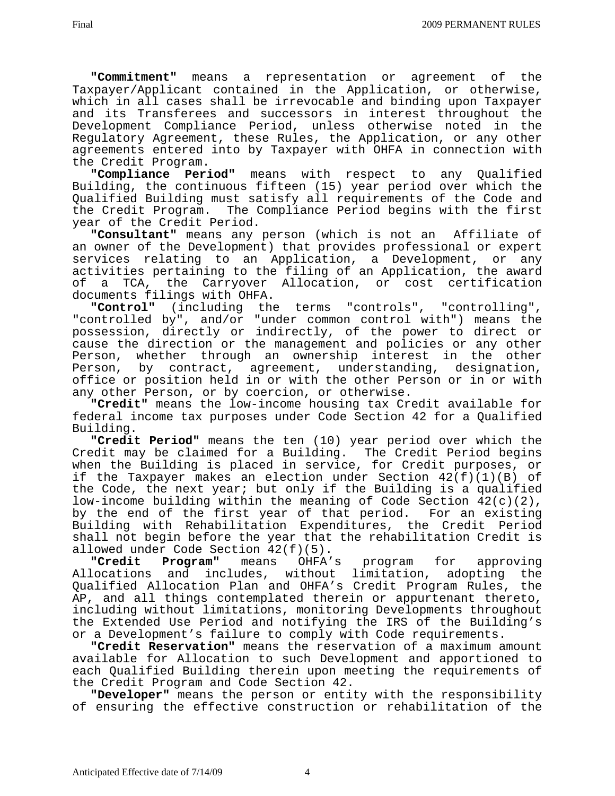**"Commitment"** means a representation or agreement of the Taxpayer/Applicant contained in the Application, or otherwise, which in all cases shall be irrevocable and binding upon Taxpayer and its Transferees and successors in interest throughout the Development Compliance Period, unless otherwise noted in the Regulatory Agreement, these Rules, the Application, or any other agreements entered into by Taxpayer with OHFA in connection with the Credit Program.

 **"Compliance Period"** means with respect to any Qualified Building, the continuous fifteen (15) year period over which the Qualified Building must satisfy all requirements of the Code and the Credit Program. The Compliance Period begins with the first year of the Credit Period.

**"Consultant"** means any person (which is not an Affiliate of an owner of the Development) that provides professional or expert services relating to an Application, a Development, or any activities pertaining to the filing of an Application, the award of a TCA, the Carryover Allocation, or cost certification documents filings with OHFA.

 **"Control"** (including the terms "controls", "controlling", "controlled by", and/or "under common control with") means the possession, directly or indirectly, of the power to direct or cause the direction or the management and policies or any other Person, whether through an ownership interest in the other Person, by contract, agreement, understanding, designation, office or position held in or with the other Person or in or with any other Person, or by coercion, or otherwise.

 **"Credit"** means the low-income housing tax Credit available for federal income tax purposes under Code Section 42 for a Qualified Building.

 **"Credit Period"** means the ten (10) year period over which the Credit may be claimed for a Building. The Credit Period begins when the Building is placed in service, for Credit purposes, or if the Taxpayer makes an election under Section 42(f)(1)(B) of the Code, the next year; but only if the Building is a qualified low-income building within the meaning of Code Section  $42(c)(2)$ , by the end of the first year of that period. For an existing Building with Rehabilitation Expenditures, the Credit Period shall not begin before the year that the rehabilitation Credit is allowed under Code Section  $42(f)(5)$ .

 **"Credit Program"** means OHFA's program for approving includes, without limitation, adopting the Qualified Allocation Plan and OHFA's Credit Program Rules, the AP, and all things contemplated therein or appurtenant thereto, including without limitations, monitoring Developments throughout the Extended Use Period and notifying the IRS of the Building's or a Development's failure to comply with Code requirements.

 **"Credit Reservation"** means the reservation of a maximum amount available for Allocation to such Development and apportioned to each Qualified Building therein upon meeting the requirements of the Credit Program and Code Section 42.

 **"Developer"** means the person or entity with the responsibility of ensuring the effective construction or rehabilitation of the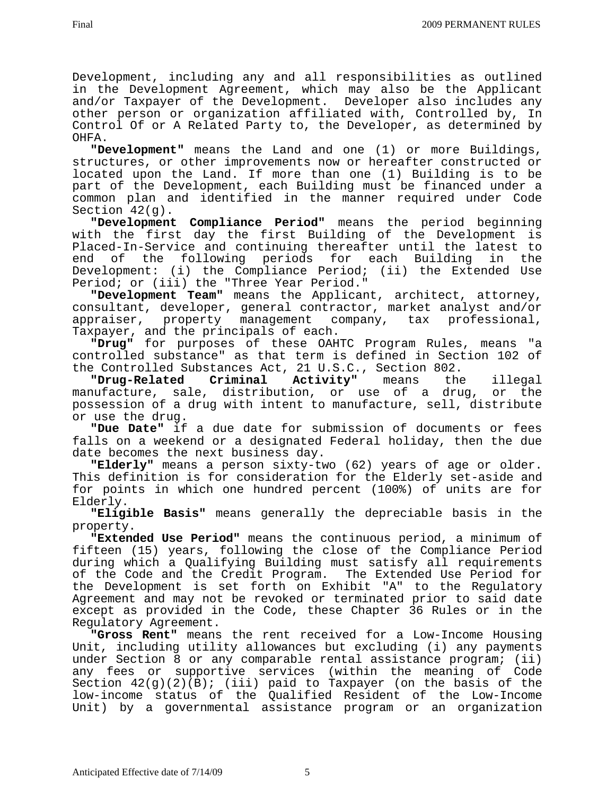Development, including any and all responsibilities as outlined in the Development Agreement, which may also be the Applicant and/or Taxpayer of the Development. Developer also includes any other person or organization affiliated with, Controlled by, In Control Of or A Related Party to, the Developer, as determined by OHFA.

 **"Development"** means the Land and one (1) or more Buildings, structures, or other improvements now or hereafter constructed or located upon the Land. If more than one (1) Building is to be part of the Development, each Building must be financed under a common plan and identified in the manner required under Code Section 42(g).

 **"Development Compliance Period"** means the period beginning with the first day the first Building of the Development is Placed-In-Service and continuing thereafter until the latest to end of the following periods for each Building in the Development: (i) the Compliance Period; (ii) the Extended Use Period; or (iii) the "Three Year Period."

 **"Development Team"** means the Applicant, architect, attorney, consultant, developer, general contractor, market analyst and/or appraiser, property management company, tax professional, Taxpayer, and the principals of each.

 **"Drug"** for purposes of these OAHTC Program Rules, means "a controlled substance" as that term is defined in Section 102 of the Controlled Substances Act, 21 U.S.C., Section 802.<br>"Drug-Related Criminal Activity" means the

**"Drug-Related Criminal Activity"** means the illegal manufacture, sale, distribution, or use of a drug, or the possession of a drug with intent to manufacture, sell, distribute or use the drug.

 **"Due Date"** if a due date for submission of documents or fees falls on a weekend or a designated Federal holiday, then the due date becomes the next business day.

 **"Elderly"** means a person sixty-two (62) years of age or older. This definition is for consideration for the Elderly set-aside and for points in which one hundred percent (100%) of units are for Elderly.

**"Eligible Basis"** means generally the depreciable basis in the property.

**"Extended Use Period"** means the continuous period, a minimum of fifteen (15) years, following the close of the Compliance Period during which a Qualifying Building must satisfy all requirements of the Code and the Credit Program. The Extended Use Period for the Development is set forth on Exhibit "A" to the Regulatory Agreement and may not be revoked or terminated prior to said date except as provided in the Code, these Chapter 36 Rules or in the Regulatory Agreement.

**"Gross Rent"** means the rent received for a Low-Income Housing Unit, including utility allowances but excluding (i) any payments under Section 8 or any comparable rental assistance program; (ii) any fees or supportive services (within the meaning of Code Section 42(g)(2)(B); (iii) paid to Taxpayer (on the basis of the low-income status of the Qualified Resident of the Low-Income Unit) by a governmental assistance program or an organization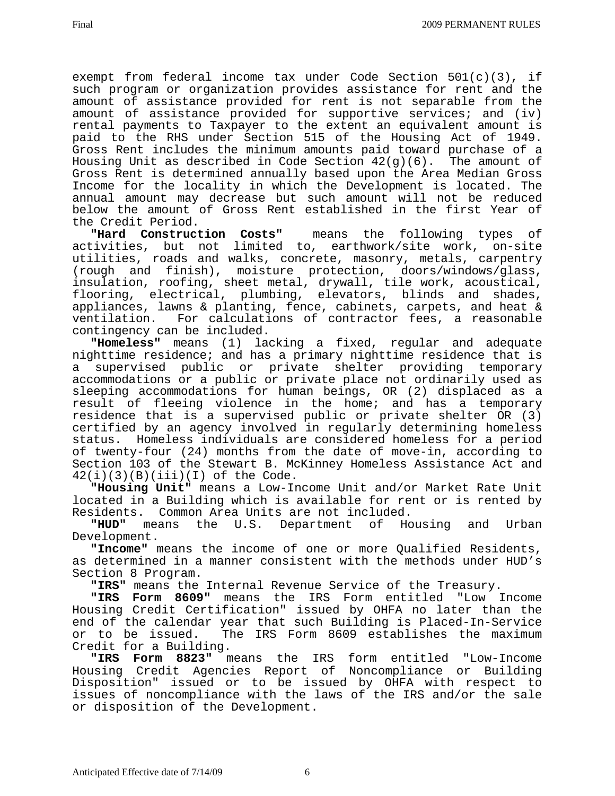exempt from federal income tax under Code Section 501(c)(3), if such program or organization provides assistance for rent and the amount of assistance provided for rent is not separable from the amount of assistance provided for supportive services; and (iv) rental payments to Taxpayer to the extent an equivalent amount is paid to the RHS under Section 515 of the Housing Act of 1949. Gross Rent includes the minimum amounts paid toward purchase of a Housing Unit as described in Code Section  $42(g)(6)$ . The amount of Gross Rent is determined annually based upon the Area Median Gross Income for the locality in which the Development is located. The annual amount may decrease but such amount will not be reduced below the amount of Gross Rent established in the first Year of the Credit Period.

**"Hard Construction Costs"** means the following types of activities, but not limited to, earthwork/site work, on-site utilities, roads and walks, concrete, masonry, metals, carpentry (rough and finish), moisture protection, doors/windows/glass, insulation, roofing, sheet metal, drywall, tile work, acoustical, flooring, electrical, plumbing, elevators, blinds and shades, appliances, lawns & planting, fence, cabinets, carpets, and heat & ventilation. For calculations of contractor fees, a reasonable contingency can be included.

 **"Homeless"** means (1) lacking a fixed, regular and adequate nighttime residence; and has a primary nighttime residence that is a supervised public or private shelter providing temporary accommodations or a public or private place not ordinarily used as sleeping accommodations for human beings, OR (2) displaced as a result of fleeing violence in the home; and has a temporary residence that is a supervised public or private shelter OR (3) certified by an agency involved in regularly determining homeless status. Homeless individuals are considered homeless for a period of twenty-four (24) months from the date of move-in, according to Section 103 of the Stewart B. McKinney Homeless Assistance Act and  $42(i)(3)(B)(iii)(I)$  of the Code.

 **"Housing Unit"** means a Low-Income Unit and/or Market Rate Unit located in a Building which is available for rent or is rented by Residents. Common Area Units are not included.<br>"HUD" means the U.S. Department of Ho

means the U.S. Department of Housing and Urban Development.

 **"Income"** means the income of one or more Qualified Residents, as determined in a manner consistent with the methods under HUD's Section 8 Program.

 **"IRS"** means the Internal Revenue Service of the Treasury.

 **"IRS Form 8609"** means the IRS Form entitled "Low Income Housing Credit Certification" issued by OHFA no later than the end of the calendar year that such Building is Placed-In-Service or to be issued. The IRS Form 8609 establishes the maximum Credit for a Building.

 **"IRS Form 8823"** means the IRS form entitled "Low-Income Housing Credit Agencies Report of Noncompliance or Building Disposition" issued or to be issued by OHFA with respect to issues of noncompliance with the laws of the IRS and/or the sale or disposition of the Development.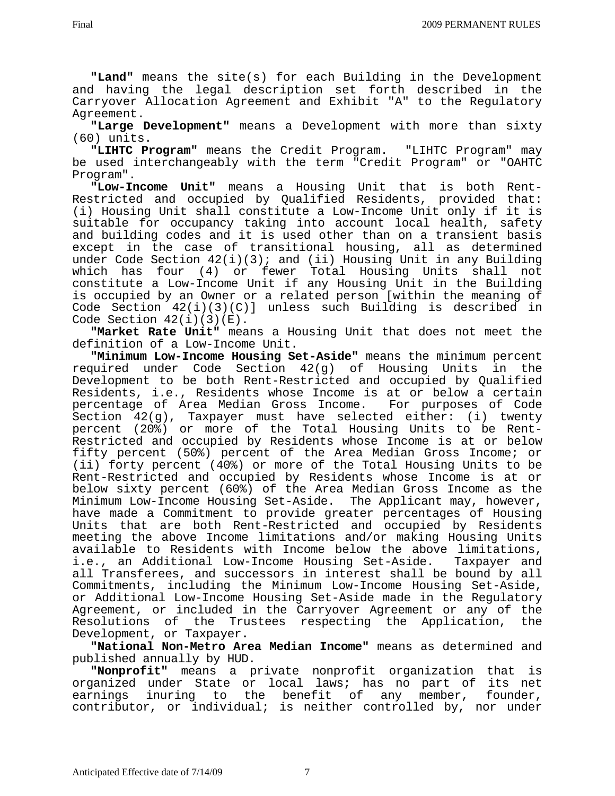**"Land"** means the site(s) for each Building in the Development and having the legal description set forth described in the Carryover Allocation Agreement and Exhibit "A" to the Regulatory Agreement.

 **"Large Development"** means a Development with more than sixty (60) units.

 **"LIHTC Program"** means the Credit Program. "LIHTC Program" may be used interchangeably with the term "Credit Program" or "OAHTC Program".

 **"Low-Income Unit"** means a Housing Unit that is both Rent-Restricted and occupied by Qualified Residents, provided that: (i) Housing Unit shall constitute a Low-Income Unit only if it is suitable for occupancy taking into account local health, safety and building codes and it is used other than on a transient basis except in the case of transitional housing, all as determined under Code Section 42(i)(3); and (ii) Housing Unit in any Building which has four (4) or fewer Total Housing Units shall not constitute a Low-Income Unit if any Housing Unit in the Building is occupied by an Owner or a related person [within the meaning of Code Section 42(i)(3)(C)] unless such Building is described in Code Section  $42(i)(3)(E)$ .

 **"Market Rate Unit"** means a Housing Unit that does not meet the definition of a Low-Income Unit.

**"Minimum Low-Income Housing Set-Aside"** means the minimum percent required under Code Section 42(g) of Housing Units in the Development to be both Rent-Restricted and occupied by Qualified Residents, i.e., Residents whose Income is at or below a certain percentage of Area Median Gross Income. For purposes of Code Section 42(g), Taxpayer must have selected either: (i) twenty percent (20%) or more of the Total Housing Units to be Rent-Restricted and occupied by Residents whose Income is at or below fifty percent (50%) percent of the Area Median Gross Income; or (ii) forty percent (40%) or more of the Total Housing Units to be Rent-Restricted and occupied by Residents whose Income is at or below sixty percent (60%) of the Area Median Gross Income as the Minimum Low-Income Housing Set-Aside. The Applicant may, however, have made a Commitment to provide greater percentages of Housing Units that are both Rent-Restricted and occupied by Residents meeting the above Income limitations and/or making Housing Units available to Residents with Income below the above limitations, i.e., an Additional Low-Income Housing Set-Aside. Taxpayer and all Transferees, and successors in interest shall be bound by all Commitments, including the Minimum Low-Income Housing Set-Aside, or Additional Low-Income Housing Set-Aside made in the Regulatory Agreement, or included in the Carryover Agreement or any of the Resolutions of the Trustees respecting the Application, the Development, or Taxpayer**.** 

 **"National Non-Metro Area Median Income"** means as determined and published annually by HUD.

 **"Nonprofit"** means a private nonprofit organization that is organized under State or local laws; has no part of its net earnings inuring to the benefit of any member, founder, contributor, or individual; is neither controlled by, nor under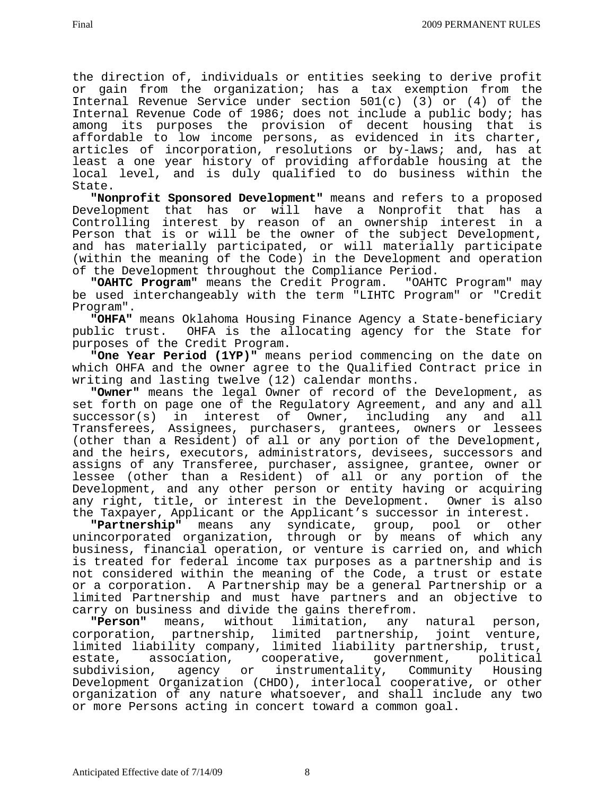the direction of, individuals or entities seeking to derive profit or gain from the organization; has a tax exemption from the Internal Revenue Service under section 501(c) (3) or (4) of the Internal Revenue Code of 1986; does not include a public body; has among its purposes the provision of decent housing that is affordable to low income persons, as evidenced in its charter, articles of incorporation, resolutions or by-laws; and, has at least a one year history of providing affordable housing at the local level, and is duly qualified to do business within the State.

 **"Nonprofit Sponsored Development"** means and refers to a proposed Development that has or will have a Nonprofit that has a Controlling interest by reason of an ownership interest in a Person that is or will be the owner of the subject Development, and has materially participated, or will materially participate (within the meaning of the Code) in the Development and operation of the Development throughout the Compliance Period.

 **"OAHTC Program"** means the Credit Program. "OAHTC Program" may be used interchangeably with the term "LIHTC Program" or "Credit Program".

 **"OHFA"** means Oklahoma Housing Finance Agency a State-beneficiary public trust. OHFA is the allocating agency for the State for purposes of the Credit Program.

 **"One Year Period (1YP)"** means period commencing on the date on which OHFA and the owner agree to the Qualified Contract price in writing and lasting twelve (12) calendar months.

 **"Owner"** means the legal Owner of record of the Development, as set forth on page one of the Regulatory Agreement, and any and all successor(s) in interest of Owner, including any and all Transferees, Assignees, purchasers, grantees, owners or lessees (other than a Resident) of all or any portion of the Development, and the heirs, executors, administrators, devisees, successors and assigns of any Transferee, purchaser, assignee, grantee, owner or lessee (other than a Resident) of all or any portion of the Development, and any other person or entity having or acquiring any right, title, or interest in the Development. Owner is also the Taxpayer, Applicant or the Applicant's successor in interest.

 **"Partnership"** means any syndicate, group, pool or other unincorporated organization, through or by means of which any business, financial operation, or venture is carried on, and which is treated for federal income tax purposes as a partnership and is not considered within the meaning of the Code, a trust or estate or a corporation. A Partnership may be a general Partnership or a limited Partnership and must have partners and an objective to carry on business and divide the gains therefrom.

 **"Person"** means, without limitation, any natural person, corporation, partnership, limited partnership, joint venture, limited liability company, limited liability partnership, trust, estate, association, cooperative, government, political subdivision, agency or instrumentality, Community Housing Development Organization (CHDO), interlocal cooperative, or other organization of any nature whatsoever, and shall include any two or more Persons acting in concert toward a common goal.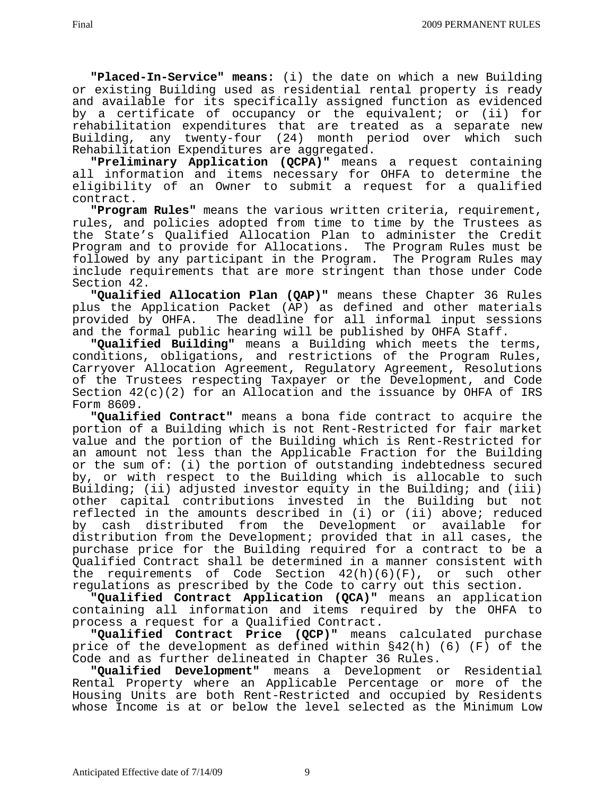**"Placed-In-Service" means:** (i) the date on which a new Building or existing Building used as residential rental property is ready and available for its specifically assigned function as evidenced by a certificate of occupancy or the equivalent; or (ii) for rehabilitation expenditures that are treated as a separate new Building, any twenty-four (24) month period over which such Rehabilitation Expenditures are aggregated.

 **"Preliminary Application (QCPA)"** means a request containing all information and items necessary for OHFA to determine the eligibility of an Owner to submit a request for a qualified contract.

 **"Program Rules"** means the various written criteria, requirement, rules, and policies adopted from time to time by the Trustees as the State's Qualified Allocation Plan to administer the Credit Program and to provide for Allocations. The Program Rules must be followed by any participant in the Program. The Program Rules may include requirements that are more stringent than those under Code Section 42.

 **"Qualified Allocation Plan (QAP)"** means these Chapter 36 Rules plus the Application Packet (AP) as defined and other materials provided by OHFA. The deadline for all informal input sessions and the formal public hearing will be published by OHFA Staff.

 **"Qualified Building"** means a Building which meets the terms, conditions, obligations, and restrictions of the Program Rules, Carryover Allocation Agreement, Regulatory Agreement, Resolutions of the Trustees respecting Taxpayer or the Development, and Code Section  $42(c)(2)$  for an Allocation and the issuance by OHFA of IRS Form 8609.

 **"Qualified Contract"** means a bona fide contract to acquire the portion of a Building which is not Rent-Restricted for fair market value and the portion of the Building which is Rent-Restricted for an amount not less than the Applicable Fraction for the Building or the sum of: (i) the portion of outstanding indebtedness secured by, or with respect to the Building which is allocable to such Building; (ii) adjusted investor equity in the Building; and (iii) other capital contributions invested in the Building but not reflected in the amounts described in (i) or (ii) above; reduced by cash distributed from the Development or available for distribution from the Development; provided that in all cases, the purchase price for the Building required for a contract to be a Qualified Contract shall be determined in a manner consistent with the requirements of Code Section  $42(h)(6)(F)$ , or such other regulations as prescribed by the Code to carry out this section.

 **"Qualified Contract Application (QCA)"** means an application containing all information and items required by the OHFA to process a request for a Qualified Contract.

 **"Qualified Contract Price (QCP)"** means calculated purchase price of the development as defined within §42(h) (6) (F) of the Code and as further delineated in Chapter 36 Rules.

 **"Qualified Development"** means a Development or Residential Rental Property where an Applicable Percentage or more of the Housing Units are both Rent-Restricted and occupied by Residents whose Income is at or below the level selected as the Minimum Low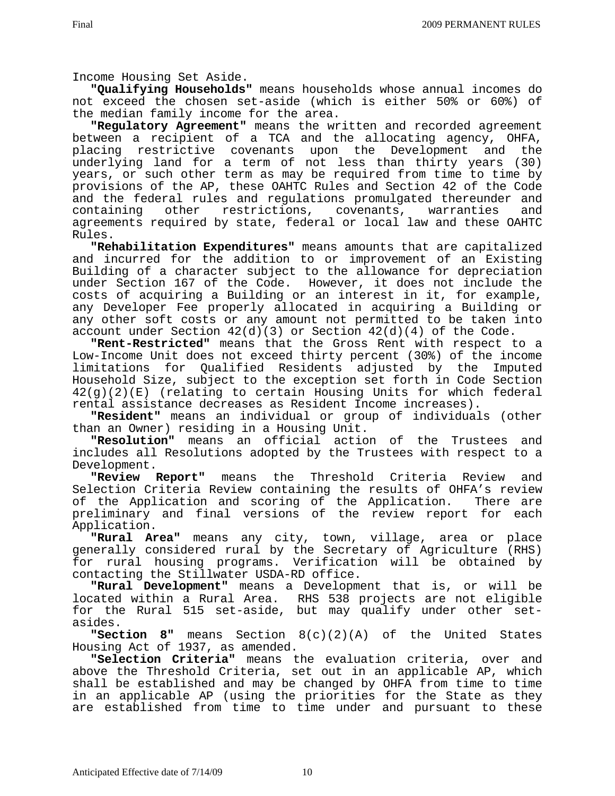Income Housing Set Aside.

 **"Qualifying Households"** means households whose annual incomes do not exceed the chosen set-aside (which is either 50% or 60%) of the median family income for the area.

 **"Regulatory Agreement"** means the written and recorded agreement between a recipient of a TCA and the allocating agency, OHFA, placing restrictive covenants upon the Development and the underlying land for a term of not less than thirty years (30) years, or such other term as may be required from time to time by provisions of the AP, these OAHTC Rules and Section 42 of the Code and the federal rules and regulations promulgated thereunder and containing other restrictions, covenants, warranties and agreements required by state, federal or local law and these OAHTC Rules.

 **"Rehabilitation Expenditures"** means amounts that are capitalized and incurred for the addition to or improvement of an Existing Building of a character subject to the allowance for depreciation under Section 167 of the Code. However, it does not include the costs of acquiring a Building or an interest in it, for example, any Developer Fee properly allocated in acquiring a Building or any other soft costs or any amount not permitted to be taken into account under Section  $42(d)(3)$  or Section  $42(d)(4)$  of the Code.

 **"Rent-Restricted"** means that the Gross Rent with respect to a Low-Income Unit does not exceed thirty percent (30%) of the income limitations for Qualified Residents adjusted by the Imputed Household Size, subject to the exception set forth in Code Section 42(g)(2)(E) (relating to certain Housing Units for which federal rental assistance decreases as Resident Income increases).

 **"Resident"** means an individual or group of individuals (other

than an Owner) residing in a Housing Unit. **"Resolution"** means an official action of the Trustees and includes all Resolutions adopted by the Trustees with respect to a Development.

 **"Review Report"** means the Threshold Criteria Review and Selection Criteria Review containing the results of OHFA's review of the Application and scoring of the Application. There are preliminary and final versions of the review report for each Application.

 **"Rural Area"** means any city, town, village, area or place generally considered rural by the Secretary of Agriculture (RHS) for rural housing programs. Verification will be obtained by contacting the Stillwater USDA-RD office.

 **"Rural Development"** means a Development that is, or will be located within a Rural Area. RHS 538 projects are not eligible for the Rural 515 set-aside, but may qualify under other setasides.

 **"Section 8"** means Section 8(c)(2)(A) of the United States Housing Act of 1937, as amended.

 **"Selection Criteria"** means the evaluation criteria, over and above the Threshold Criteria, set out in an applicable AP, which shall be established and may be changed by OHFA from time to time in an applicable AP (using the priorities for the State as they are established from time to time under and pursuant to these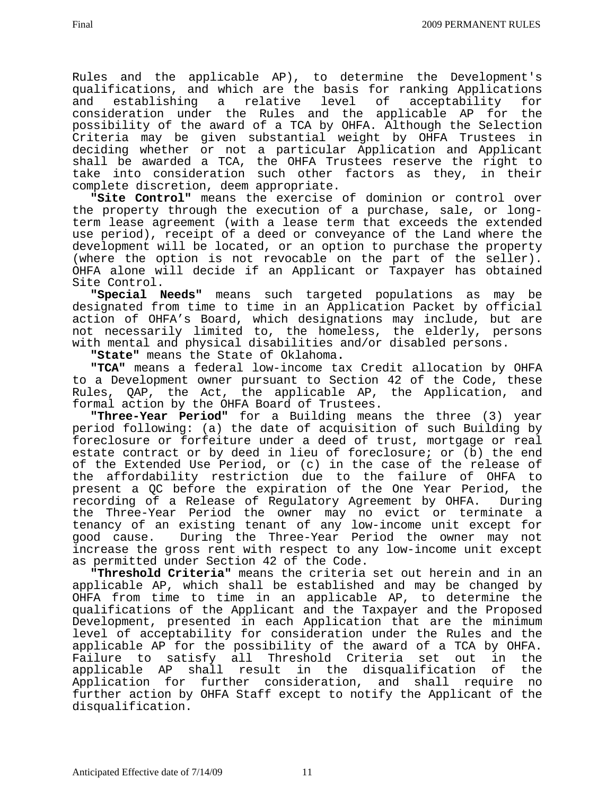Rules and the applicable AP), to determine the Development's qualifications, and which are the basis for ranking Applications and establishing a relative level of acceptability for consideration under the Rules and the applicable AP for the possibility of the award of a TCA by OHFA. Although the Selection Criteria may be given substantial weight by OHFA Trustees in deciding whether or not a particular Application and Applicant shall be awarded a TCA, the OHFA Trustees reserve the right to take into consideration such other factors as they, in their complete discretion, deem appropriate.

 **"Site Control"** means the exercise of dominion or control over the property through the execution of a purchase, sale, or longterm lease agreement (with a lease term that exceeds the extended use period), receipt of a deed or conveyance of the Land where the development will be located, or an option to purchase the property (where the option is not revocable on the part of the seller). OHFA alone will decide if an Applicant or Taxpayer has obtained Site Control.

 **"Special Needs"** means such targeted populations as may be designated from time to time in an Application Packet by official action of OHFA's Board, which designations may include, but are not necessarily limited to, the homeless, the elderly, persons with mental and physical disabilities and/or disabled persons.

 **"State"** means the State of Oklahoma**.** 

 **"TCA"** means a federal low-income tax Credit allocation by OHFA to a Development owner pursuant to Section 42 of the Code, these Rules, QAP, the Act, the applicable AP, the Application, and formal action by the OHFA Board of Trustees.

 **"Three-Year Period"** for a Building means the three (3) year period following: (a) the date of acquisition of such Building by foreclosure or forfeiture under a deed of trust, mortgage or real estate contract or by deed in lieu of foreclosure; or (b) the end of the Extended Use Period, or (c) in the case of the release of the affordability restriction due to the failure of OHFA to present a QC before the expiration of the One Year Period, the recording of a Release of Regulatory Agreement by OHFA. During the Three-Year Period the owner may no evict or terminate a tenancy of an existing tenant of any low-income unit except for good cause. During the Three-Year Period the owner may not increase the gross rent with respect to any low-income unit except as permitted under Section 42 of the Code.

 **"Threshold Criteria"** means the criteria set out herein and in an applicable AP, which shall be established and may be changed by OHFA from time to time in an applicable AP, to determine the qualifications of the Applicant and the Taxpayer and the Proposed Development, presented in each Application that are the minimum level of acceptability for consideration under the Rules and the applicable AP for the possibility of the award of a TCA by OHFA. Failure to satisfy all Threshold Criteria set out in the applicable AP shall result in the disqualification of the Application for further consideration, and shall require no further action by OHFA Staff except to notify the Applicant of the disqualification.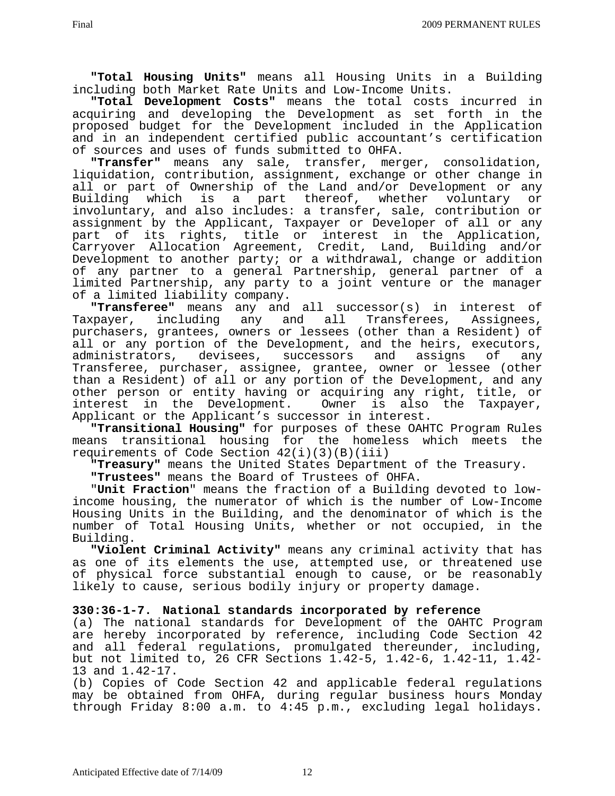**"Total Housing Units"** means all Housing Units in a Building including both Market Rate Units and Low-Income Units.

 **"Total Development Costs"** means the total costs incurred in acquiring and developing the Development as set forth in the proposed budget for the Development included in the Application and in an independent certified public accountant's certification<br>of sources and uses of funds submitted to OHFA.

"Transfer" means any sale, transfer, merger, consolidation, liquidation, contribution, assignment, exchange or other change in all or part of Ownership of the Land and/or Development or any<br>Building which is a part thereof, whether voluntary or is a part thereof, whether voluntary or involuntary, and also includes: a transfer, sale, contribution or assignment by the Applicant, Taxpayer or Developer of all or any part of its rights, title or interest in the Application, Carryover Allocation Agreement, Credit, Land, Building and/or Development to another party; or a withdrawal, change or addition of any partner to a general Partnership, general partner of a limited Partnership, any party to a joint venture or the manager of a limited liability company.

 **"Transferee"** means any and all successor(s) in interest of Taxpayer, including any and all Transferees, Assignees, purchasers, grantees, owners or lessees (other than a Resident) of all or any portion of the Development, and the heirs, executors, administrators, devisees, successors and assigns of any Transferee, purchaser, assignee, grantee, owner or lessee (other than a Resident) of all or any portion of the Development, and any other person or entity having or acquiring any right, title, or<br>interest in the Development. Owner is also the Taxpayer, interest in the Development. Owner is also the Taxpayer, Applicant or the Applicant's successor in interest.

 **"Transitional Housing"** for purposes of these OAHTC Program Rules means transitional housing for the homeless which meets the requirements of Code Section  $42(i)(3)(B)(iii)$ 

 **"Treasury"** means the United States Department of the Treasury.  **"Trustees"** means the Board of Trustees of OHFA.

 "**Unit Fraction**" means the fraction of a Building devoted to lowincome housing, the numerator of which is the number of Low-Income Housing Units in the Building, and the denominator of which is the number of Total Housing Units, whether or not occupied, in the Building.

 **"Violent Criminal Activity"** means any criminal activity that has as one of its elements the use, attempted use, or threatened use of physical force substantial enough to cause, or be reasonably likely to cause, serious bodily injury or property damage.

## **330:36-1-7. National standards incorporated by reference**

(a) The national standards for Development of the OAHTC Program are hereby incorporated by reference, including Code Section 42 and all federal regulations, promulgated thereunder, including, but not limited to, 26 CFR Sections 1.42-5, 1.42-6, 1.42-11, 1.42- 13 and 1.42-17.

(b) Copies of Code Section 42 and applicable federal regulations may be obtained from OHFA, during regular business hours Monday through Friday 8:00 a.m. to 4:45 p.m., excluding legal holidays.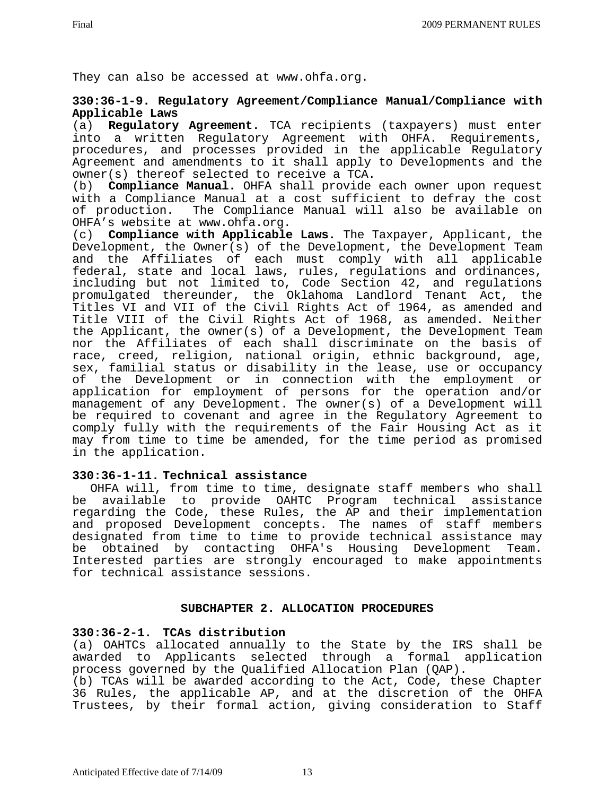They can also be accessed at www.ohfa.org.

### **330:36-1-9. Regulatory Agreement/Compliance Manual/Compliance with Applicable Laws**

(a) **Regulatory Agreement.** TCA recipients (taxpayers) must enter into a written Regulatory Agreement with OHFA. Requirements, procedures, and processes provided in the applicable Regulatory Agreement and amendments to it shall apply to Developments and the owner(s) thereof selected to receive a TCA.

(b) **Compliance Manual.** OHFA shall provide each owner upon request with a Compliance Manual at a cost sufficient to defray the cost of production. The Compliance Manual will also be available on OHFA's website at www.ohfa.org.

(c) **Compliance with Applicable Laws.** The Taxpayer, Applicant, the Development, the Owner(s) of the Development, the Development Team and the Affiliates of each must comply with all applicable federal, state and local laws, rules, regulations and ordinances, including but not limited to, Code Section 42, and regulations promulgated thereunder, the Oklahoma Landlord Tenant Act, the Titles VI and VII of the Civil Rights Act of 1964, as amended and Title VIII of the Civil Rights Act of 1968, as amended. Neither the Applicant, the owner(s) of a Development, the Development Team nor the Affiliates of each shall discriminate on the basis of race, creed, religion, national origin, ethnic background, age, sex, familial status or disability in the lease, use or occupancy of the Development or in connection with the employment or application for employment of persons for the operation and/or management of any Development. The owner(s) of a Development will be required to covenant and agree in the Regulatory Agreement to comply fully with the requirements of the Fair Housing Act as it may from time to time be amended, for the time period as promised in the application.

## **330:36-1-11. Technical assistance**

 OHFA will, from time to time, designate staff members who shall be available to provide OAHTC Program technical assistance regarding the Code, these Rules, the AP and their implementation and proposed Development concepts. The names of staff members designated from time to time to provide technical assistance may be obtained by contacting OHFA's Housing Development Team. Interested parties are strongly encouraged to make appointments for technical assistance sessions.

#### **SUBCHAPTER 2. ALLOCATION PROCEDURES**

## **330:36-2-1. TCAs distribution**

(a) OAHTCs allocated annually to the State by the IRS shall be awarded to Applicants selected through a formal application process governed by the Qualified Allocation Plan (QAP).

(b) TCAs will be awarded according to the Act, Code, these Chapter 36 Rules, the applicable AP, and at the discretion of the OHFA Trustees, by their formal action, giving consideration to Staff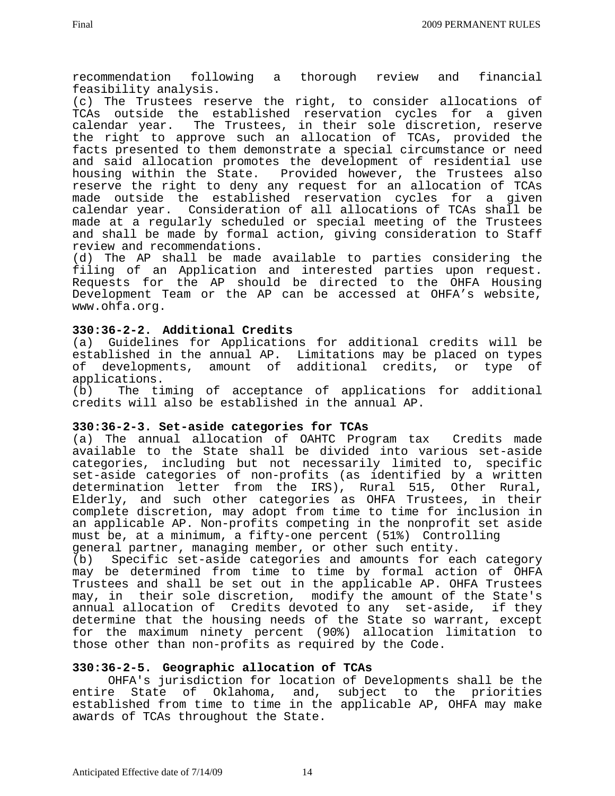recommendation following a thorough review and financial feasibility analysis.

(c) The Trustees reserve the right, to consider allocations of TCAs outside the established reservation cycles for a given calendar year. The Trustees, in their sole discretion, reserve the right to approve such an allocation of TCAs, provided the facts presented to them demonstrate a special circumstance or need and said allocation promotes the development of residential use housing within the State. Provided however, the Trustees also reserve the right to deny any request for an allocation of TCAs made outside the established reservation cycles for a given calendar year. Consideration of all allocations of TCAs shall be made at a regularly scheduled or special meeting of the Trustees and shall be made by formal action, giving consideration to Staff review and recommendations.

(d) The AP shall be made available to parties considering the filing of an Application and interested parties upon request. Requests for the AP should be directed to the OHFA Housing Development Team or the AP can be accessed at OHFA's website, www.ohfa.org.

### **330:36-2-2. Additional Credits**

(a) Guidelines for Applications for additional credits will be established in the annual AP. Limitations may be placed on types of developments, amount of additional credits, or type of applications.

(b) The timing of acceptance of applications for additional credits will also be established in the annual AP.

#### **330:36-2-3. Set-aside categories for TCAs**

(a) The annual allocation of OAHTC Program tax Credits made available to the State shall be divided into various set-aside categories, including but not necessarily limited to, specific set-aside categories of non-profits (as identified by a written determination letter from the IRS), Rural 515, Other Rural, Elderly, and such other categories as OHFA Trustees, in their complete discretion, may adopt from time to time for inclusion in an applicable AP. Non-profits competing in the nonprofit set aside must be, at a minimum, a fifty-one percent (51%) Controlling general partner, managing member, or other such entity.

(b) Specific set-aside categories and amounts for each category may be determined from time to time by formal action of OHFA Trustees and shall be set out in the applicable AP. OHFA Trustees may, in their sole discretion, modify the amount of the State's annual allocation of Credits devoted to any set-aside, if they determine that the housing needs of the State so warrant, except for the maximum ninety percent (90%) allocation limitation to those other than non-profits as required by the Code.

#### **330:36-2-5. Geographic allocation of TCAs**

 OHFA's jurisdiction for location of Developments shall be the entire State of Oklahoma, and, subject to the priorities established from time to time in the applicable AP, OHFA may make awards of TCAs throughout the State.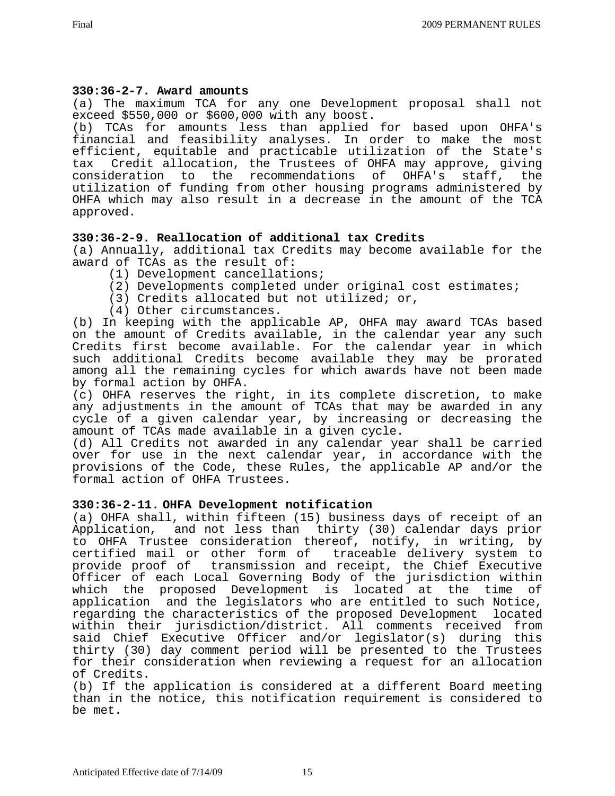### **330:36-2-7. Award amounts**

(a) The maximum TCA for any one Development proposal shall not exceed \$550,000 or \$600,000 with any boost.

(b) TCAs for amounts less than applied for based upon OHFA's financial and feasibility analyses. In order to make the most efficient, equitable and practicable utilization of the State's tax Credit allocation, the Trustees of OHFA may approve, giving consideration to the recommendations of OHFA's staff, the utilization of funding from other housing programs administered by OHFA which may also result in a decrease in the amount of the TCA approved.

## **330:36-2-9. Reallocation of additional tax Credits**

(a) Annually, additional tax Credits may become available for the award of TCAs as the result of:

- (1) Development cancellations;
- (2) Developments completed under original cost estimates;
- (3) Credits allocated but not utilized; or,
- (4) Other circumstances.

(b) In keeping with the applicable AP, OHFA may award TCAs based on the amount of Credits available, in the calendar year any such Credits first become available. For the calendar year in which such additional Credits become available they may be prorated among all the remaining cycles for which awards have not been made by formal action by OHFA.

(c) OHFA reserves the right, in its complete discretion, to make any adjustments in the amount of TCAs that may be awarded in any cycle of a given calendar year, by increasing or decreasing the amount of TCAs made available in a given cycle.

(d) All Credits not awarded in any calendar year shall be carried over for use in the next calendar year, in accordance with the provisions of the Code, these Rules, the applicable AP and/or the formal action of OHFA Trustees.

#### **330:36-2-11. OHFA Development notification**

(a) OHFA shall, within fifteen (15) business days of receipt of an Application, and not less than thirty (30) calendar days prior to OHFA Trustee consideration thereof, notify, in writing, by certified mail or other form of traceable delivery system to provide proof of transmission and receipt, the Chief Executive Officer of each Local Governing Body of the jurisdiction within which the proposed Development is located at the time of application and the legislators who are entitled to such Notice, regarding the characteristics of the proposed Development located within their jurisdiction/district. All comments received from said Chief Executive Officer and/or legislator(s) during this thirty (30) day comment period will be presented to the Trustees for their consideration when reviewing a request for an allocation of Credits.

(b) If the application is considered at a different Board meeting than in the notice, this notification requirement is considered to be met.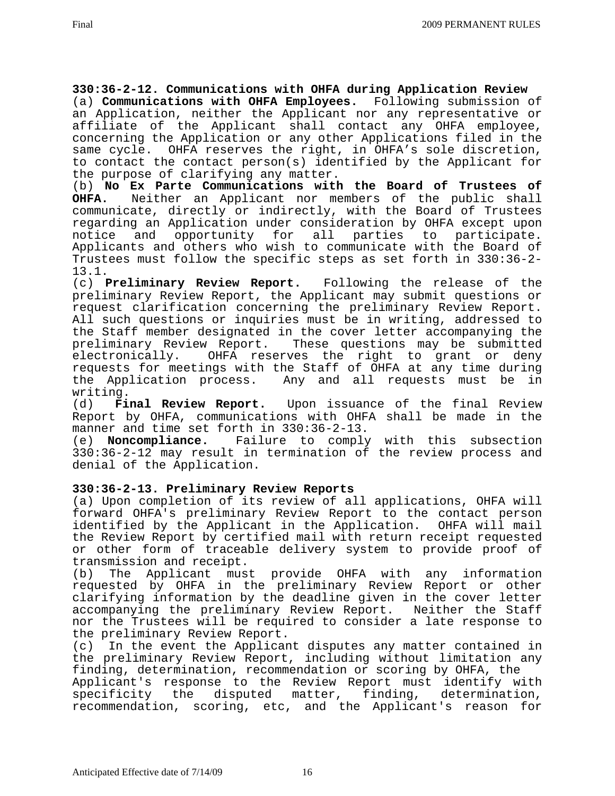**330:36-2-12. Communications with OHFA during Application Review**  (a) **Communications with OHFA Employees.** Following submission of an Application, neither the Applicant nor any representative or affiliate of the Applicant shall contact any OHFA employee, concerning the Application or any other Applications filed in the same cycle. OHFA reserves the right, in OHFA's sole discretion, to contact the contact person(s) identified by the Applicant for the purpose of clarifying any matter.

(b) **No Ex Parte Communications with the Board of Trustees of OHFA.** Neither an Applicant nor members of the public shall communicate, directly or indirectly, with the Board of Trustees regarding an Application under consideration by OHFA except upon notice and opportunity for all parties to participate. Applicants and others who wish to communicate with the Board of Trustees must follow the specific steps as set forth in 330:36-2- 13.1.

(c) **Preliminary Review Report.** Following the release of the preliminary Review Report, the Applicant may submit questions or request clarification concerning the preliminary Review Report. All such questions or inquiries must be in writing, addressed to the Staff member designated in the cover letter accompanying the preliminary Review Report. These questions may be submitted electronically. OHFA reserves the right to grant or deny requests for meetings with the Staff of OHFA at any time during<br>the Application process. Any and all requests must be in Any and all requests must be in writing.<br>(d) Final Review Report.

(d) **Final Review Report.** Upon issuance of the final Review Report by OHFA, communications with OHFA shall be made in the manner and time set forth in 330:36-2-13.

(e) **Noncompliance.** Failure to comply with this subsection 330:36-2-12 may result in termination of the review process and denial of the Application.

#### **330:36-2-13. Preliminary Review Reports**

(a) Upon completion of its review of all applications, OHFA will forward OHFA's preliminary Review Report to the contact person identified by the Applicant in the Application. OHFA will mail the Review Report by certified mail with return receipt requested or other form of traceable delivery system to provide proof of transmission and receipt.

(b) The Applicant must provide OHFA with any information requested by OHFA in the preliminary Review Report or other clarifying information by the deadline given in the cover letter accompanying the preliminary Review Report. Neither the Staff nor the Trustees will be required to consider a late response to the preliminary Review Report.

(c) In the event the Applicant disputes any matter contained in the preliminary Review Report, including without limitation any finding, determination, recommendation or scoring by OHFA, the Applicant's response to the Review Report must identify with specificity the disputed matter, finding, determination, recommendation, scoring, etc, and the Applicant's reason for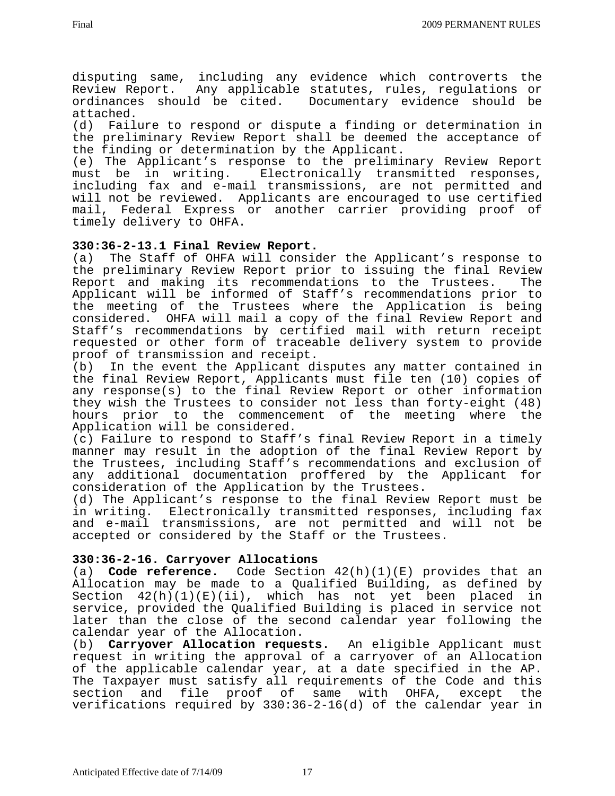disputing same, including any evidence which controverts the Review Report. Any applicable statutes, rules, regulations or ordinances should be cited. Documentary evidence should be attached.

(d) Failure to respond or dispute a finding or determination in the preliminary Review Report shall be deemed the acceptance of the finding or determination by the Applicant.

(e) The Applicant's response to the preliminary Review Report must be in writing. Electronically transmitted responses, including fax and e-mail transmissions, are not permitted and will not be reviewed. Applicants are encouraged to use certified mail, Federal Express or another carrier providing proof of timely delivery to OHFA.

## **330:36-2-13.1 Final Review Report.**

(a) The Staff of OHFA will consider the Applicant's response to the preliminary Review Report prior to issuing the final Review Report and making its recommendations to the Trustees. The Applicant will be informed of Staff's recommendations prior to the meeting of the Trustees where the Application is being considered. OHFA will mail a copy of the final Review Report and Staff's recommendations by certified mail with return receipt requested or other form of traceable delivery system to provide proof of transmission and receipt.

(b) In the event the Applicant disputes any matter contained in the final Review Report, Applicants must file ten (10) copies of any response(s) to the final Review Report or other information they wish the Trustees to consider not less than forty-eight (48) hours prior to the commencement of the meeting where the Application will be considered.

(c) Failure to respond to Staff's final Review Report in a timely manner may result in the adoption of the final Review Report by the Trustees, including Staff's recommendations and exclusion of any additional documentation proffered by the Applicant for consideration of the Application by the Trustees.

(d) The Applicant's response to the final Review Report must be in writing. Electronically transmitted responses, including fax and e-mail transmissions, are not permitted and will not be accepted or considered by the Staff or the Trustees.

## **330:36-2-16. Carryover Allocations**

(a) **Code reference.** Code Section 42(h)(1)(E) provides that an Allocation may be made to a Qualified Building, as defined by Section  $42(h)(1)(E)(ii)$ , which has not yet been placed in service, provided the Qualified Building is placed in service not later than the close of the second calendar year following the calendar year of the Allocation.

(b) **Carryover Allocation requests.** An eligible Applicant must request in writing the approval of a carryover of an Allocation of the applicable calendar year, at a date specified in the AP. The Taxpayer must satisfy all requirements of the Code and this section and file proof of same with OHFA, except the verifications required by 330:36-2-16(d) of the calendar year in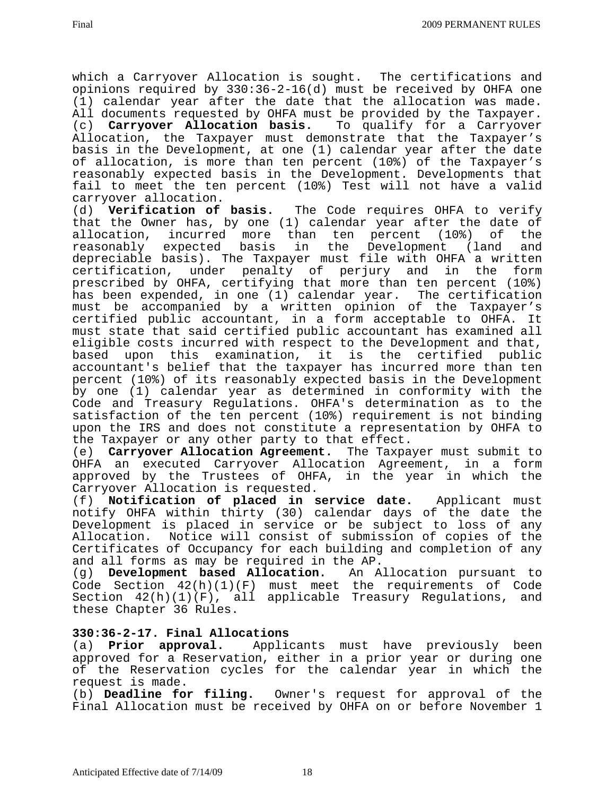which a Carryover Allocation is sought. The certifications and opinions required by 330:36-2-16(d) must be received by OHFA one (1) calendar year after the date that the allocation was made. All documents requested by OHFA must be provided by the Taxpayer. (c) **Carryover Allocation basis.** To qualify for a Carryover Allocation, the Taxpayer must demonstrate that the Taxpayer's basis in the Development, at one (1) calendar year after the date of allocation, is more than ten percent (10%) of the Taxpayer's reasonably expected basis in the Development. Developments that fail to meet the ten percent (10%) Test will not have a valid carryover allocation.

(d) **Verification of basis.** The Code requires OHFA to verify that the Owner has, by one (1) calendar year after the date of<br>allocation, incurred more than ten percent (10%) of the allocation, incurred more than ten percent (10%) of the reasonably expected basis in the Development (land and depreciable basis). The Taxpayer must file with OHFA a written certification, under penalty of perjury and in the form prescribed by OHFA, certifying that more than ten percent (10%) has been expended, in one (1) calendar year. The certification must be accompanied by a written opinion of the Taxpayer's certified public accountant, in a form acceptable to OHFA. It must state that said certified public accountant has examined all eligible costs incurred with respect to the Development and that, based upon this examination, it is the certified public accountant's belief that the taxpayer has incurred more than ten percent (10%) of its reasonably expected basis in the Development by one (1) calendar year as determined in conformity with the Code and Treasury Regulations. OHFA's determination as to the satisfaction of the ten percent (10%) requirement is not binding upon the IRS and does not constitute a representation by OHFA to the Taxpayer or any other party to that effect.

(e) **Carryover Allocation Agreement.** The Taxpayer must submit to OHFA an executed Carryover Allocation Agreement, in a form approved by the Trustees of OHFA, in the year in which the Carryover Allocation is requested.

(f) **Notification of placed in service date.** Applicant must notify OHFA within thirty (30) calendar days of the date the Development is placed in service or be subject to loss of any Allocation. Notice will consist of submission of copies of the Certificates of Occupancy for each building and completion of any and all forms as may be required in the AP.

(g) **Development based Allocation.** An Allocation pursuant to Code Section 42(h)(1)(F) must meet the requirements of Code Section 42(h)(1)(F), all applicable Treasury Regulations, and these Chapter 36 Rules.

## **330:36-2-17. Final Allocations**

(a) **Prior approval.** Applicants must have previously been approved for a Reservation, either in a prior year or during one of the Reservation cycles for the calendar year in which the request is made.

(b) **Deadline for filing.** Owner's request for approval of the Final Allocation must be received by OHFA on or before November 1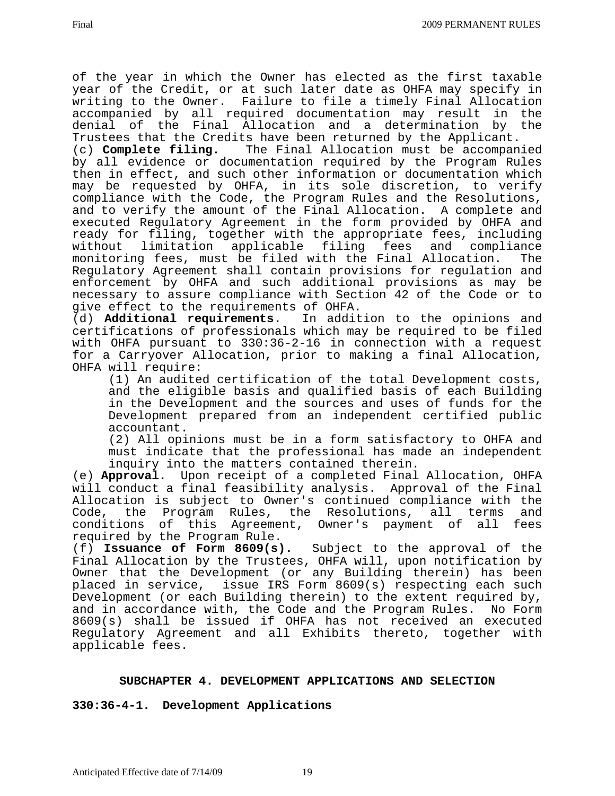of the year in which the Owner has elected as the first taxable year of the Credit, or at such later date as OHFA may specify in writing to the Owner. Failure to file a timely Final Allocation accompanied by all required documentation may result in the denial of the Final Allocation and a determination by the Trustees that the Credits have been returned by the Applicant.

(c) **Complete filing.** The Final Allocation must be accompanied by all evidence or documentation required by the Program Rules then in effect, and such other information or documentation which may be requested by OHFA, in its sole discretion, to verify compliance with the Code, the Program Rules and the Resolutions, and to verify the amount of the Final Allocation. A complete and executed Regulatory Agreement in the form provided by OHFA and ready for filing, together with the appropriate fees, including without limitation applicable filing fees and compliance monitoring fees, must be filed with the Final Allocation. The Regulatory Agreement shall contain provisions for regulation and enforcement by OHFA and such additional provisions as may be necessary to assure compliance with Section 42 of the Code or to give effect to the requirements of OHFA.

(d) **Additional requirements.** In addition to the opinions and certifications of professionals which may be required to be filed with OHFA pursuant to 330:36-2-16 in connection with a request for a Carryover Allocation, prior to making a final Allocation, OHFA will require:

 (1) An audited certification of the total Development costs, and the eligible basis and qualified basis of each Building in the Development and the sources and uses of funds for the Development prepared from an independent certified public accountant.

 (2) All opinions must be in a form satisfactory to OHFA and must indicate that the professional has made an independent inquiry into the matters contained therein.

(e) **Approval.** Upon receipt of a completed Final Allocation, OHFA will conduct a final feasibility analysis. Approval of the Final Allocation is subject to Owner's continued compliance with the Code, the Program Rules, the Resolutions, all terms and conditions of this Agreement, Owner's payment of all fees required by the Program Rule.

(f) **Issuance of Form 8609(s).** Subject to the approval of the Final Allocation by the Trustees, OHFA will, upon notification by Owner that the Development (or any Building therein) has been placed in service, issue IRS Form 8609(s) respecting each such Development (or each Building therein) to the extent required by, and in accordance with, the Code and the Program Rules. No Form 8609(s) shall be issued if OHFA has not received an executed Regulatory Agreement and all Exhibits thereto, together with applicable fees.

## **SUBCHAPTER 4. DEVELOPMENT APPLICATIONS AND SELECTION**

**330:36-4-1. Development Applications**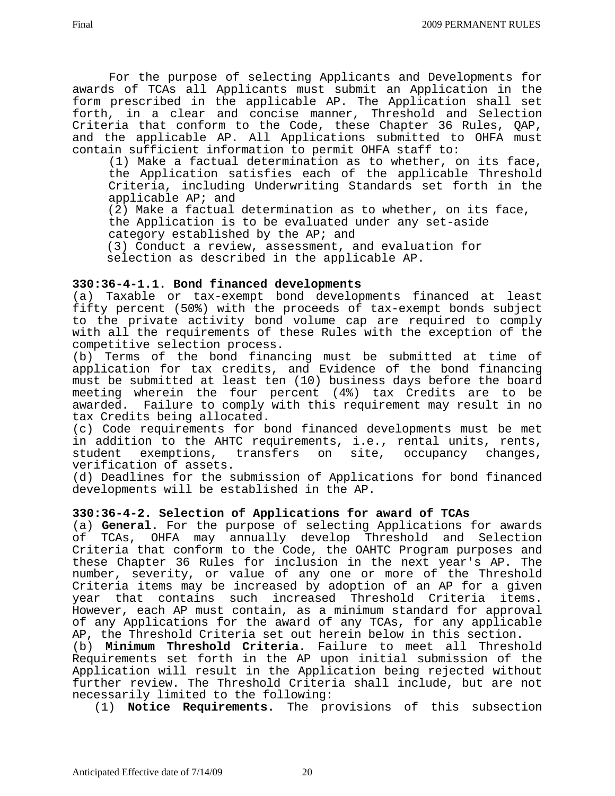For the purpose of selecting Applicants and Developments for awards of TCAs all Applicants must submit an Application in the form prescribed in the applicable AP. The Application shall set forth, in a clear and concise manner, Threshold and Selection Criteria that conform to the Code, these Chapter 36 Rules, QAP, and the applicable AP. All Applications submitted to OHFA must contain sufficient information to permit OHFA staff to:

(1) Make a factual determination as to whether, on its face, the Application satisfies each of the applicable Threshold Criteria, including Underwriting Standards set forth in the applicable AP; and

 (2) Make a factual determination as to whether, on its face, the Application is to be evaluated under any set-aside category established by the AP; and

 (3) Conduct a review, assessment, and evaluation for selection as described in the applicable AP.

## **330:36-4-1.1. Bond financed developments**

(a) Taxable or tax-exempt bond developments financed at least fifty percent (50%) with the proceeds of tax-exempt bonds subject to the private activity bond volume cap are required to comply with all the requirements of these Rules with the exception of the competitive selection process.

(b) Terms of the bond financing must be submitted at time of application for tax credits, and Evidence of the bond financing must be submitted at least ten (10) business days before the board meeting wherein the four percent (4%) tax Credits are to be awarded. Failure to comply with this requirement may result in no tax Credits being allocated.

(c) Code requirements for bond financed developments must be met in addition to the AHTC requirements, i.e., rental units, rents, student exemptions, transfers on site, occupancy changes, verification of assets.

(d) Deadlines for the submission of Applications for bond financed developments will be established in the AP.

## **330:36-4-2. Selection of Applications for award of TCAs**

(a) **General.** For the purpose of selecting Applications for awards of TCAs, OHFA may annually develop Threshold and Selection Criteria that conform to the Code, the OAHTC Program purposes and these Chapter 36 Rules for inclusion in the next year's AP. The number, severity, or value of any one or more of the Threshold Criteria items may be increased by adoption of an AP for a given year that contains such increased Threshold Criteria items. However, each AP must contain, as a minimum standard for approval of any Applications for the award of any TCAs, for any applicable AP, the Threshold Criteria set out herein below in this section.

(b) **Minimum Threshold Criteria.** Failure to meet all Threshold Requirements set forth in the AP upon initial submission of the Application will result in the Application being rejected without further review. The Threshold Criteria shall include, but are not necessarily limited to the following:

(1) **Notice Requirements.** The provisions of this subsection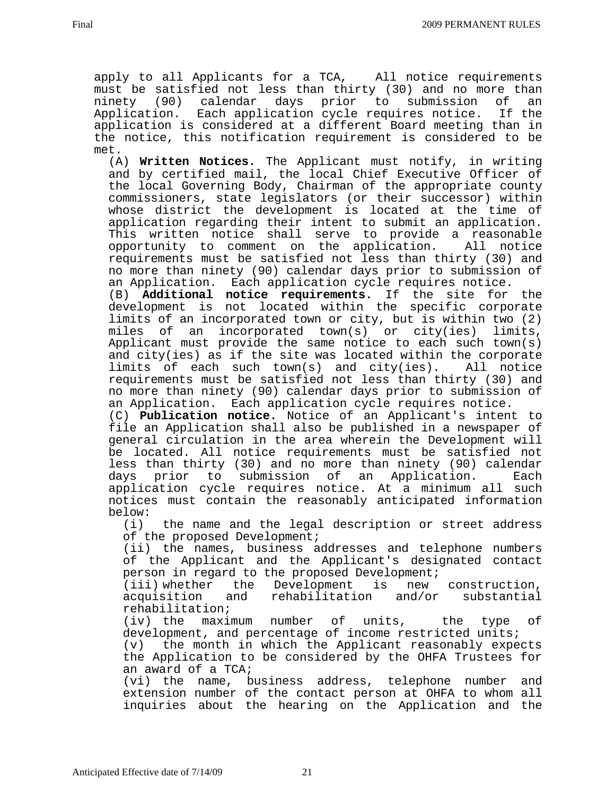apply to all Applicants for a TCA, All notice requirements must be satisfied not less than thirty (30) and no more than ninety (90) calendar days prior to submission of an Application. Each application cycle requires notice. If the application is considered at a different Board meeting than in the notice, this notification requirement is considered to be met.

(A) **Written Notices.** The Applicant must notify, in writing and by certified mail, the local Chief Executive Officer of the local Governing Body, Chairman of the appropriate county commissioners, state legislators (or their successor) within whose district the development is located at the time of application regarding their intent to submit an application. This written notice shall serve to provide a reasonable opportunity to comment on the application. All notice requirements must be satisfied not less than thirty (30) and no more than ninety (90) calendar days prior to submission of an Application. Each application cycle requires notice.

(B) **Additional notice requirements.** If the site for the development is not located within the specific corporate limits of an incorporated town or city, but is within two (2) miles of an incorporated town(s) or city(ies) limits, Applicant must provide the same notice to each such town(s) and city(ies) as if the site was located within the corporate limits of each such town(s) and city(ies). All notice requirements must be satisfied not less than thirty (30) and no more than ninety (90) calendar days prior to submission of an Application. Each application cycle requires notice.

(C) **Publication notice.** Notice of an Applicant's intent to file an Application shall also be published in a newspaper of general circulation in the area wherein the Development will be located. All notice requirements must be satisfied not less than thirty (30) and no more than ninety (90) calendar days prior to submission of an Application. Each application cycle requires notice. At a minimum all such notices must contain the reasonably anticipated information below:<br> $(i)$ 

the name and the legal description or street address of the proposed Development;

(ii) the names, business addresses and telephone numbers of the Applicant and the Applicant's designated contact person in regard to the proposed Development;

(iii) whether the Development is new construction, acquisition and rehabilitation and/or rehabilitation;

(iv) the maximum number of units, the type of development, and percentage of income restricted units;

(v) the month in which the Applicant reasonably expects the Application to be considered by the OHFA Trustees for an award of a TCA;

(vi) the name, business address, telephone number and extension number of the contact person at OHFA to whom all inquiries about the hearing on the Application and the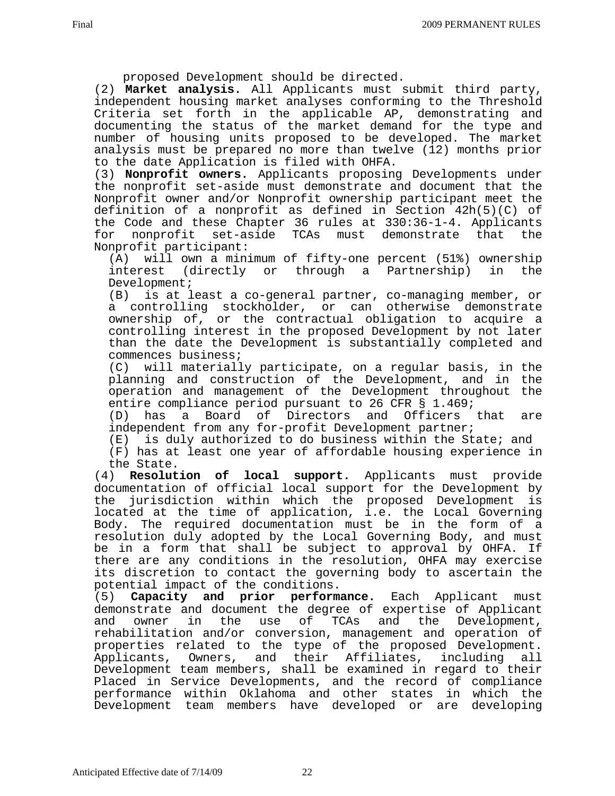proposed Developm ent should be directed.

(2) **Market analysis.** All Applicants must submit third party, independent housing market analyses conforming to the Threshold Criteria set forth in the applicable AP, demonstrating and documenting the status of the market demand for the type and number of housing units proposed to be developed. The market analysis must be prepared no more than twelve (12) months prior to the date Application is filed with OHFA.

(3) **Nonprofit owners.** Applicants proposing Developments under the nonprofit set-aside must demonstrate and document that the Nonprofit owner and/or Nonprofit ownership participant meet the definition of a nonprofit as defined in Section 42h(5)(C) of the Code and these Chapter 36 rules at 330:36-1-4. Applicants<br>for nonprofit set-aside TCAs must demonstrate that the for nonprofit set-aside TCAs must demonstrate that the Nonprofit participant:

(A) will own a minimum of fifty-one percent (51%) ownership<br>interest (directly or through a Partnership) in the (directly or through a Partnership) in the Development;

(B) is at least a co-general partner, co-managing member, or a controlling stockholder, or can otherwise demonstrate ownership of, or the contractual obligation to acquire a controlling interest in the proposed Development by not later than the date the Development is substantially completed and commences business;

(C) will materially participate, on a regular basis, in the planning and construction of the Development, and in the operation and management of the Development throughout the entire compliance period pursuant to 26 CFR § 1.469;

(D) has a Board of Directors and Officers that are independent from any for-profit Development partner;

(E) is duly authorized to do business within the State; and

(F) has at least one year of affordable housing experience in the State.

(4) **Resolution of local support.** Applicants must provide documentation of official local support for the Development by the jurisdiction within which the proposed Development is located at the time of application, i.e. the Local Governing Body. The required documentation must be in the form of a resolution duly adopted by the Local Governing Body, and must be in a form that shall be subject to approval by OHFA. If there are any conditions in the resolution, OHFA may exercise its discretion to contact the governing body to ascertain the potential impact of the conditions.

(5) **Capacity and prior performance.** Each Applicant must demonstrate and document the degree of expertise of Applicant and owner in the use of TCAs and the Development, rehabilitation and/or conversion, management and operation of properties related to the type of the proposed Development. Applicants, Owners, and their Affiliates, including all Development team members, shall be examined in regard to their Placed in Service Developments, and the record of compliance performance within Oklahoma and other states in which the Development team members have developed or are developing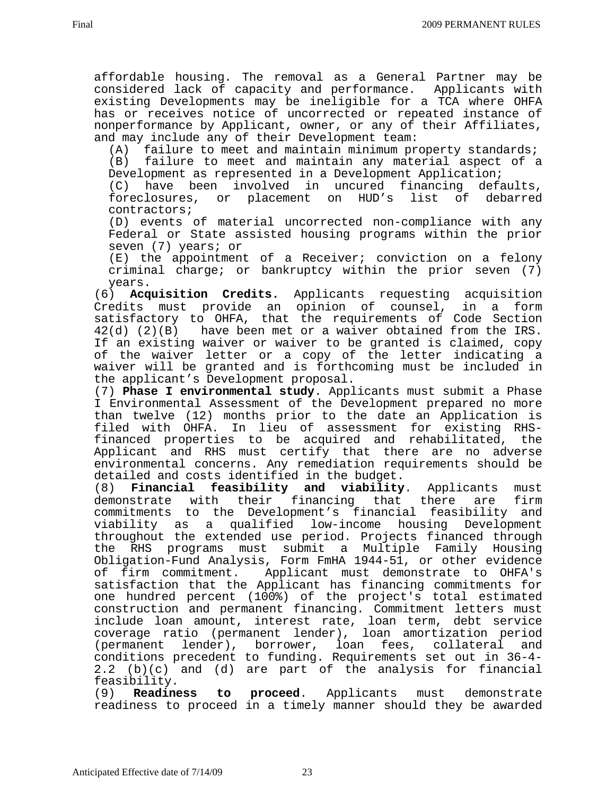affordable housing. The removal as a General Partner may be considered lack of capacity and performance. Applicants with existing Developments may be ineligible for a TCA where OHFA has or receives notice of uncorrected or repeated instance of nonperformance by Applicant, owner, or any of their Affiliates, and may include any of their Development team:

(A) failure to meet and maintain minimum property standards; (B) failure to meet and maintain any material aspect of a Development as represented in a Development Application;

(C) have been involved in uncured financing defaults, foreclosures, or placement on HUD's list of debarred contractors;

(D) events of material uncorrected non-compliance with any Federal or State assisted housing programs within the prior seven (7) years; or

(E) the appointment of a Receiver; conviction on a felony criminal charge; or bankruptcy within the prior seven (7) years.

(6) **Acquisition Credits.** Applicants requesting acquisition Credits must provide an opinion of counsel, in a form satisfactory to OHFA, that the requirements of Code Section 42(d) (2)(B) have been met or a waiver obtained from the IRS. If an existing waiver or waiver to be granted is claimed, copy of the waiver letter or a copy of the letter indicating a waiver will be granted and is forthcoming must be included in the applicant's Development proposal.

(7) **Phase I environmental study**. Applicants must submit a Phase I Environmental Assessment of the Development prepared no more than twelve (12) months prior to the date an Application is filed with OHFA. In lieu of assessment for existing RHSfinanced properties to be acquired and rehabilitated, the Applicant and RHS must certify that there are no adverse environmental concerns. Any remediation requirements should be detailed and costs identified in the budget.

(8) **Financial feasibility and viability**. Applicants must demonstrate with their financing that there are firm commitments to the Development's financial feasibility and viability as a qualified low-income housing Development throughout the extended use period. Projects financed through the RHS programs must submit a Multiple Family Housing Obligation-Fund Analysis, Form FmHA 1944-51, or other evidence of firm commitment. Applicant must demonstrate to OHFA's satisfaction that the Applicant has financing commitments for one hundred percent (100%) of the project's total estimated construction and permanent financing. Commitment letters must include loan amount, interest rate, loan term, debt service coverage ratio (permanent lender), loan amortization period (permanent lender), borrower, loan fees, collateral and conditions precedent to funding. Requirements set out in 36-4- 2.2 (b)(c) and (d) are part of the analysis for financial feasibility.

(9) **Readiness to proceed**. Applicants must demonstrate readiness to proceed in a timely manner should they be awarded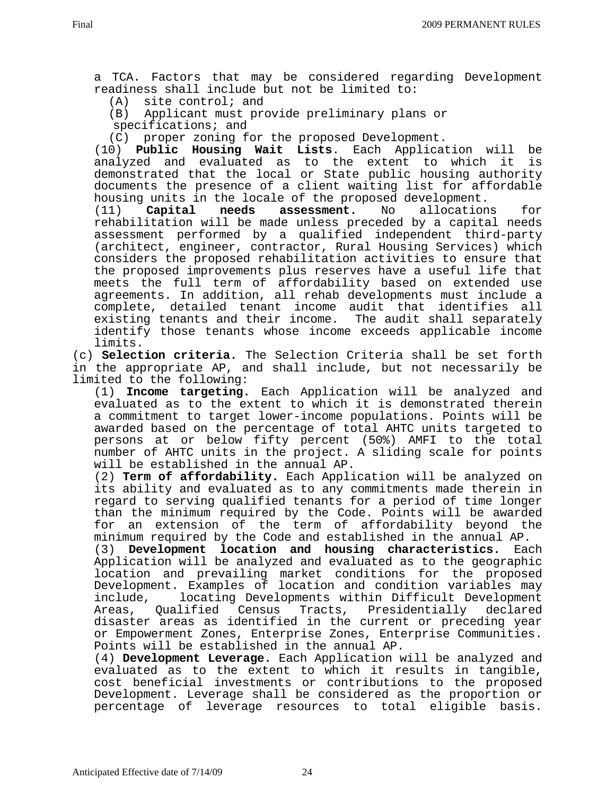a TCA. Factors that may be considered regarding Development readiness shall include but not be limited to:

(A) site control; and

(B) Applicant must provide preliminary plans or

specifications; and

(C) proper zoning for the proposed Development.

(10) **Public Housing Wait Lists**. Each Application will be analyzed and evaluated as to the extent to which it is demonstrated that the local or State public housing authority documents the presence of a client waiting list for affordable housing units in the locale of the proposed development.<br>(11) **Capital needs assessment.** No allocation

(11) **Capital needs assessment.** No allocations for rehabilitation will be made unless preceded by a capital needs assessment performed by a qualified independent third-party (architect, engineer, contractor, Rural Housing Services) which considers the proposed rehabilitation activities to ensure that the proposed improvements plus reserves have a useful life that meets the full term of affordability based on extended use agreements. In addition, all rehab developments must include a complete, detailed tenant income audit that identifies all existing tenants and their income. The audit shall separately identify those tenants whose income exceeds applicable income limits.

(c) **Selection criteria.** The Selection Criteria shall be set forth in the appropriate AP, and shall include, but not necessarily be limited to the following:

(1) **Income targeting.** Each Application will be analyzed and evaluated as to the extent to which it is demonstrated therein a commitment to target lower-income populations. Points will be awarded based on the percentage of total AHTC units targeted to persons at or below fifty percent (50%) AMFI to the total number of AHTC units in the project. A sliding scale for points will be established in the annual AP.

(2) **Term of affordability.** Each Application will be analyzed on its ability and evaluated as to any commitments made therein in regard to serving qualified tenants for a period of time longer than the minimum required by the Code. Points will be awarded for an extension of the term of affordability beyond the minimum required by the Code and established in the annual AP.

(3) **Development location and housing characteristics.** Each Application will be analyzed and evaluated as to the geographic location and prevailing market conditions for the proposed Development. Examples of location and condition variables may include, locating Developments within Difficult Development Areas, Qualified Census Tracts, Presidentially declared disaster areas as identified in the current or preceding year or Empowerment Zones, Enterprise Zones, Enterprise Communities. Points will be established in the annual AP.

(4) **Development Leverage.** Each Application will be analyzed and evaluated as to the extent to which it results in tangible, cost beneficial investments or contributions to the proposed Development. Leverage shall be considered as the proportion or percentage of leverage resources to total eligible basis.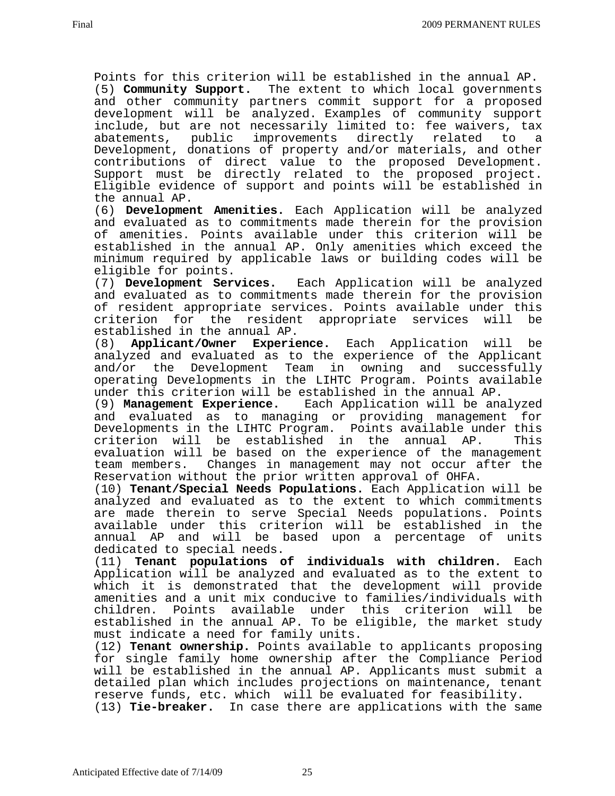Points for this criterion will be established in the annual AP. (5) **Community Support.** The extent to which local governments and other community partners commit support for a proposed development will be analyzed. Examples of community support include, but are not necessarily limited to: fee waivers, tax improvements directly related to a Development, donations of property and/or materials, and other contributions of direct value to the proposed Development. Support must be directly related to the proposed project. Eligible evidence of support and points will be established in the annual AP.

(6) **Development Amenities.** Each Application will be analyzed and evaluated as to commitments made therein for the provision of amenities. Points available under this criterion will be established in the annual AP. Only amenities which exceed the minimum required by applicable laws or building codes will be eligible for points.

(7) **Development Services.** Each Application will be analyzed and evaluated as to commitments made therein for the provision of resident appropriate services. Points available under this<br>criterion for the resident appropriate services will be appropriate services will be established in the annual AP.

(8) **Applicant/Owner Experience.** Each Application will be analyzed and evaluated as to the experience of the Applicant and/or the Development Team in owning and successfully operating Developments in the LIHTC Program. Points available

under this criterion will be established in the annual AP.<br>(9) **Management Experience.** Each Application will be ana (9) **Management Experience.** Each Application will be analyzed and evaluated as to managing or providing management for Developments in the LIHTC Program. Points available under this criterion will be established in the annual AP. This evaluation will be based on the experience of the management team members. Changes in management may not occur after the Reservation without the prior written approval of OHFA.

(10) **Tenant/Special Needs Populations.** Each Application will be analyzed and evaluated as to the extent to which commitments are made therein to serve Special Needs populations. Points available under this criterion will be established in the annual AP and will be based upon a percentage of units dedicated to special needs.

(11) **Tenant populations of individuals with children.** Each Application will be analyzed and evaluated as to the extent to which it is demonstrated that the development will provide amenities and a unit mix conducive to families/individuals with children. Points available under this criterion will be established in the annual AP. To be eligible, the market study must indicate a need for family units.

(12) **Tenant ownership.** Points available to applicants proposing for single family home ownership after the Compliance Period will be established in the annual AP. Applicants must submit a detailed plan which includes projections on maintenance, tenant reserve funds, etc. which will be evaluated for feasibility. (13) **Tie-breaker.** In case there are applications with the same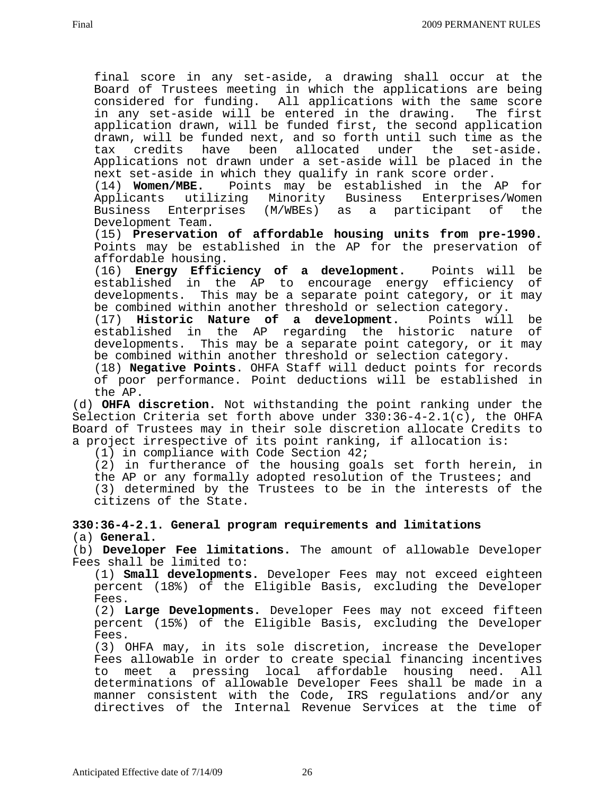final score in any set-aside, a drawing shall occur at the Board of Trustees meeting in which the applications are being considered for funding. All applications with the same score in any set-aside will be entered in the drawing. The first application drawn, will be funded first, the second application drawn, will be funded next, and so forth until such time as the tax credits have been allocated under the set-aside. Applications not drawn under a set-aside will be placed in the next set-aside in which they qualify in rank score order.

(14) **Women/MBE.** Points may be established in the AP for Applicants utilizing Minority Business Enterprises/Women<br>Business Enterprises (M/WBEs) as a participant of the Business Enterprises (M/WBEs) as a participant of the Development Team.

(15) **Preservation of affordable housing units from pre-1990.**  Points may be established in the AP for the preservation of affordable housing.

(16) **Energy Efficiency of a development.** Points will be established in the AP to encourage energy efficiency of developments. This may be a separate point category, or it may

be combined within another threshold or selection category.<br>(17) **Historic Nature of a development.** Points will (17) **Historic Nature of a development.** Points will be established in the AP regarding the historic nature of developments. This may be a separate point category, or it may be combined within another threshold or selection category.

(18) **Negative Points**. OHFA Staff will deduct points for records of poor performance. Point deductions will be established in the AP.

(d) **OHFA discretion.** Not withstanding the point ranking under the Selection Criteria set forth above under  $330:36-4-2.1(c)$ , the OHFA Board of Trustees may in their sole discretion allocate Credits to a project irrespective of its point ranking, if allocation is:

(1) in compliance with Code Section 42;

(2) in furtherance of the housing goals set forth herein, in the AP or any formally adopted resolution of the Trustees; and (3) determined by the Trustees to be in the interests of the citizens of the State.

**330:36-4-2.1. General program requirements and limitations** (a) **General.** 

(b) **Developer Fee limitations.** The amount of allowable Developer Fees shall be limited to:

(1) **Small developments.** Developer Fees may not exceed eighteen percent (18%) of the Eligible Basis, excluding the Developer Fees. (2) **Large Developments.** Developer Fees may not exceed fifteen

percent (15%) of the Eligible Basis, excluding the Developer Fees.

(3) OHFA may, in its sole discretion, increase the Developer Fees allowable in order to create special financing incentives to meet a pressing local affordable housing need. All determinations of allowable Developer Fees shall be made in a manner consistent with the Code, IRS regulations and/or any directives of the Internal Revenue Services at the time of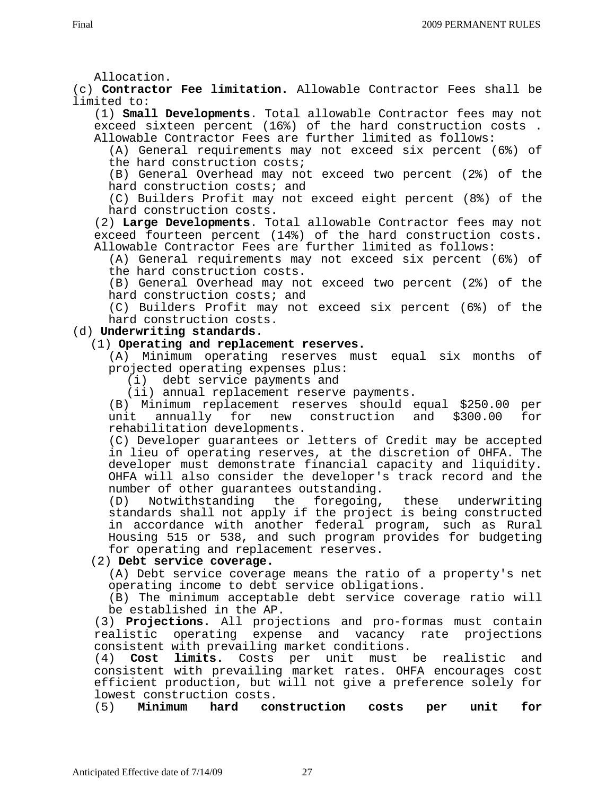Allocation.

(c) **Contractor Fee limitation.** Allowable Contractor Fees shall be limited to:

(1) **Small Developments**. Total allowable Contractor fees may not exceed sixteen percent (16%) of the hard construction costs . Allowable Contractor Fees are further limited as follows:

(A) General requirements may not exceed six percent (6%) of the hard construction costs;

(B) General Overhead may not exceed two percent (2%) of the hard construction costs; and

(C) Builders Profit may not exceed eight percent (8%) of the hard construction costs.

(2) **Large Developments**. Total allowable Contractor fees may not exceed fourteen percent (14%) of the hard construction costs. Allowable Contractor Fees are further limited as follows:

(A) General requirements may not exceed six percent (6%) of the hard construction costs.

(B) General Overhead may not exceed two percent (2%) of the hard construction costs; and

(C) Builders Profit may not exceed six percent (6%) of the hard construction costs.

## (d) **Underwriting standards**.

### (1) **Operating and replacement reserves.**

(A) Minimum operating reserves must equal six months of projected operating expenses plus:

(i) debt service payments and

(ii) annual replacement reserve payments.

(B) Minimum replacement reserves should equal \$250.00 per unit annually for new construction and \$300.00 for rehabilitation developments.

(C) Developer guarantees or letters of Credit may be accepted in lieu of operating reserves, at the discretion of OHFA. The developer must demonstrate financial capacity and liquidity. OHFA will also consider the developer's track record and the number of other guarantees outstanding.

(D) Notwithstanding the foregoing, these underwriting standards shall not apply if the project is being constructed in accordance with another federal program, such as Rural Housing 515 or 538, and such program provides for budgeting for operating and replacement reserves.

#### (2) **Debt service coverage.**

(A) Debt service coverage means the ratio of a property's net operating income to debt service obligations.

 (B) The minimum acceptable debt service coverage ratio will be established in the AP.

(3) **Projections.** All projections and pro-formas must contain realistic operating expense and vacancy rate projections consistent with prevailing market conditions.

(4) **Cost limits.** Costs per unit must be realistic and consistent with prevailing market rates. OHFA encourages cost efficient production, but will not give a preference solely for lowest construction costs.<br>(5) **Minimum hard co** 

(5) **Minimum hard construction costs per unit for**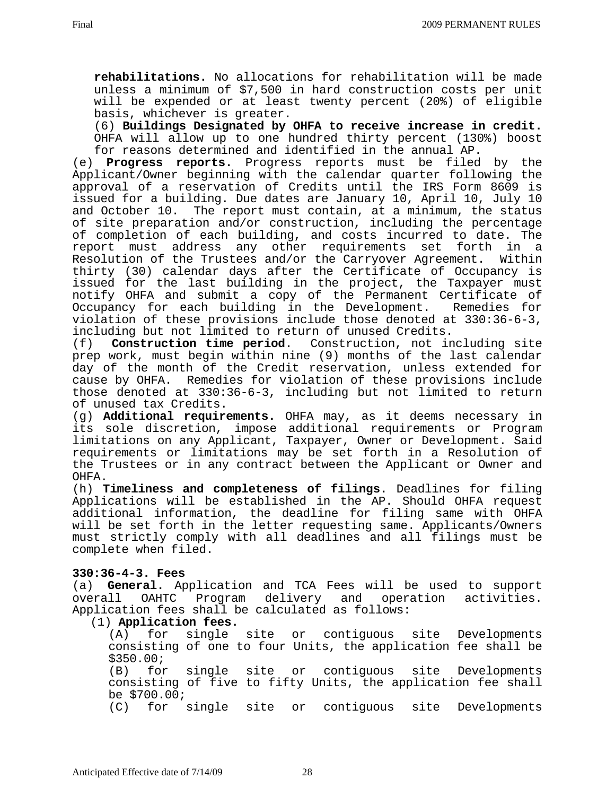**rehabilitations.** No allocations for rehabilitation will be made unless a minimum of \$7,500 in hard construction costs per unit will be expended or at least twenty percent (20%) of eligible basis, whichever is greater.

(6) **Buildings Designated by OHFA to receive increase in credit.**  OHFA will allow up to one hundred thirty percent (130%) boost for reasons determined and identified in the annual AP.

(e) **Progress reports.** Progress reports must be filed by the Applicant/Owner beginning with the calendar quarter following the approval of a reservation of Credits until the IRS Form 8609 is issued for a building. Due dates are January 10, April 10, July 10 and October 10. The report must contain, at a minimum, the status of site preparation and/or construction, including the percentage of completion of each building, and costs incurred to date. The report must address any other requirements set forth in a Resolution of the Trustees and/or the Carryover Agreement. Within thirty (30) calendar days after the Certificate of Occupancy is issued for the last building in the project, the Taxpayer must notify OHFA and submit a copy of the Permanent Certificate of Occupancy for each building in the Development. Remedies for violation of these provisions include those denoted at 330:36-6-3, including but not limited to return of unused Credits.<br>(f) **Construction time period**. Construction, not in

(f) **Construction time period**. Construction, not including site prep work, must begin within nine (9) months of the last calendar day of the month of the Credit reservation, unless extended for cause by OHFA. Remedies for violation of these provisions include those denoted at 330:36-6-3, including but not limited to return of unused tax Credits.

(g) **Additional requirements.** OHFA may, as it deems necessary in its sole discretion, impose additional requirements or Program limitations on any Applicant, Taxpayer, Owner or Development. Said requirements or limitations may be set forth in a Resolution of the Trustees or in any contract between the Applicant or Owner and OHFA.

(h) **Timeliness and completeness of filings.** Deadlines for filing Applications will be established in the AP. Should OHFA request additional information, the deadline for filing same with OHFA will be set forth in the letter requesting same. Applicants/Owners must strictly comply with all deadlines and all filings must be complete when filed.

## **330:36-4-3. Fees**

(a) **General.** Application and TCA Fees will be used to support overall OAHTC Program delivery and operation activities. Application fees shall be calculated as follows:

#### (1) **Application fees.**

(A) for single site or contiguous site Developments consisting of one to four Units, the application fee shall be \$350.00;

(B) for single site or contiguous site Developments consisting of five to fifty Units, the application fee shall be  $$700.00;$ <br>(C) for

(C) for single site or contiguous site Developments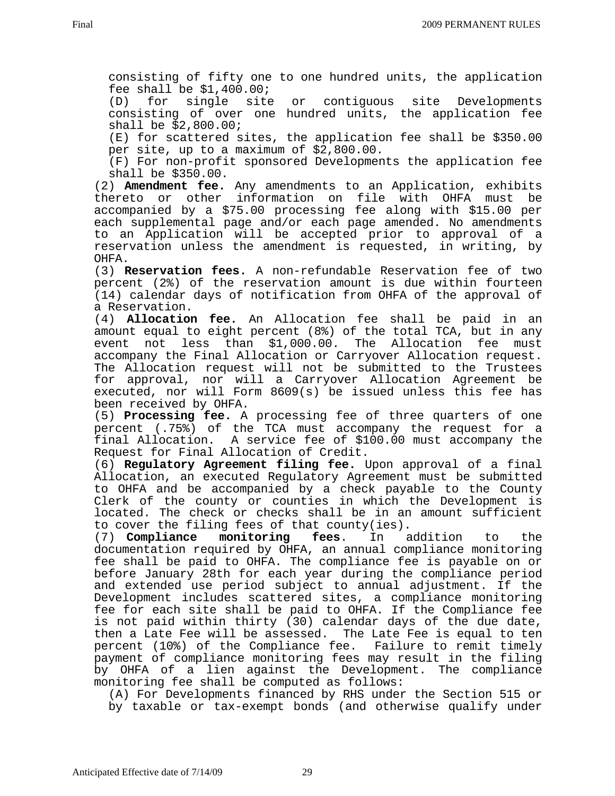consisting of fifty one to one hundred units, the application fee shall be \$1,400.00;

(D) for single site or contiguous site Developments consisting of over one hundred units, the application fee shall be \$2,800.00;

(E) for scattered sites, the application fee shall be \$350.00 per site, up to a maximum of \$2,800.00.

(F) For non-profit sponsored Developments the application fee shall be \$350.00.

(2) **Amendment fee.** Any amendments to an Application, exhibits thereto or other information on file with OHFA must be accompanied by a \$75.00 processing fee along with \$15.00 per each supplemental page and/or each page amended. No amendments to an Application will be accepted prior to approval of a reservation unless the amendment is requested, in writing, by OHFA.

(3) **Reservation fees.** A non-refundable Reservation fee of two percent (2%) of the reservation amount is due within fourteen (14) calendar days of notification from OHFA of the approval of a Reservation.

(4) **Allocation fee.** An Allocation fee shall be paid in an amount equal to eight percent (8%) of the total TCA, but in any event not less than \$1,000.00. The Allocation fee must accompany the Final Allocation or Carryover Allocation request. The Allocation request will not be submitted to the Trustees for approval, nor will a Carryover Allocation Agreement be executed, nor will Form 8609(s) be issued unless this fee has been received by OHFA.

(5) **Processing fee.** A processing fee of three quarters of one percent (.75%) of the TCA must accompany the request for a final Allocation. A service fee of \$100.00 must accompany the Request for Final Allocation of Credit.

(6) **Regulatory Agreement filing fee.** Upon approval of a final Allocation, an executed Regulatory Agreement must be submitted to OHFA and be accompanied by a check payable to the County Clerk of the county or counties in which the Development is located. The check or checks shall be in an amount sufficient to cover the filing fees of that county(ies).

(7) **Compliance monitoring fees**. In addition to the documentation required by OHFA, an annual compliance monitoring fee shall be paid to OHFA. The compliance fee is payable on or before January 28th for each year during the compliance period and extended use period subject to annual adjustment. If the Development includes scattered sites, a compliance monitoring fee for each site shall be paid to OHFA. If the Compliance fee is not paid within thirty (30) calendar days of the due date, then a Late Fee will be assessed. The Late Fee is equal to ten percent (10%) of the Compliance fee. Failure to remit timely payment of compliance monitoring fees may result in the filing by OHFA of a lien against the Development. The compliance monitoring fee shall be computed as follows:

(A) For Developments financed by RHS under the Section 515 or by taxable or tax-exempt bonds (and otherwise qualify under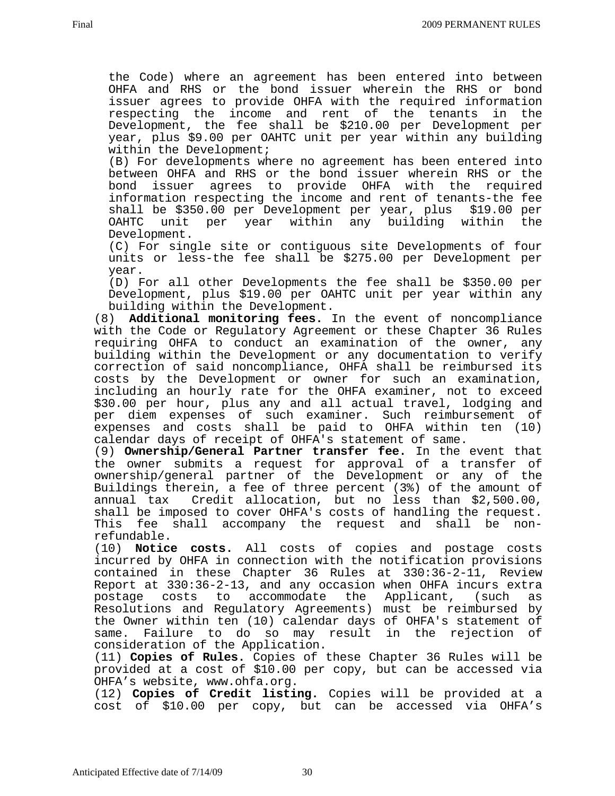the Code) where an agreement has been entered into between OHFA and RHS or the bond issuer wherein the RHS or bond issuer agrees to provide OHFA with the required information respecting the income and rent of the tenants in the Development, the fee shall be \$210.00 per Development per year, plus \$9.00 per OAHTC unit per year within any building within the Development;

(B) For developments where no agreement has been entered into between OHFA and RHS or the bond issuer wherein RHS or the bond issuer agrees to provide OHFA with the required information respecting the income and rent of tenants-the fee shall be \$350.00 per Development per year, plus \$19.00 per OAHTC unit per year within any building within the Development.

(C) For single site or contiguous site Developments of four units or less-the fee shall be \$275.00 per Development per year.

(D) For all other Developments the fee shall be \$350.00 per Development, plus \$19.00 per OAHTC unit per year within any building within the Development.

(8) **Additional monitoring fees.** In the event of noncompliance with the Code or Regulatory Agreement or these Chapter 36 Rules requiring OHFA to conduct an examination of the owner, any building within the Development or any documentation to verify correction of said noncompliance, OHFA shall be reimbursed its costs by the Development or owner for such an examination, including an hourly rate for the OHFA examiner, not to exceed \$30.00 per hour, plus any and all actual travel, lodging and per diem expenses of such examiner. Such reimbursement of expenses and costs shall be paid to OHFA within ten (10) calendar days of receipt of OHFA's statement of same.

(9) **Ownership/General Partner transfer fee.** In the event that the owner submits a request for approval of a transfer of ownership/general partner of the Development or any of the Buildings therein, a fee of three percent (3%) of the amount of annual tax Credit allocation, but no less than \$2,500.00, shall be imposed to cover OHFA's costs of handling the request. This fee shall accompany the request and shall be nonrefundable.

(10) **Notice costs.** All costs of copies and postage costs incurred by OHFA in connection with the notification provisions contained in these Chapter 36 Rules at 330:36-2-11, Review Report at 330:36-2-13, and any occasion when OHFA incurs extra<br>postage costs to accommodate the Applicant, (such as postage costs to accommodate the Applicant, (such as Resolutions and Regulatory Agreements) must be reimbursed by the Owner within ten (10) calendar days of OHFA's statement of same. Failure to do so may result in the rejection of consideration of the Application.

(11) **Copies of Rules.** Copies of these Chapter 36 Rules will be provided at a cost of \$10.00 per copy, but can be accessed via OHFA's website, www.ohfa.org.

(12) **Copies of Credit listing.** Copies will be provided at a cost of \$10.00 per copy, but can be accessed via OHFA's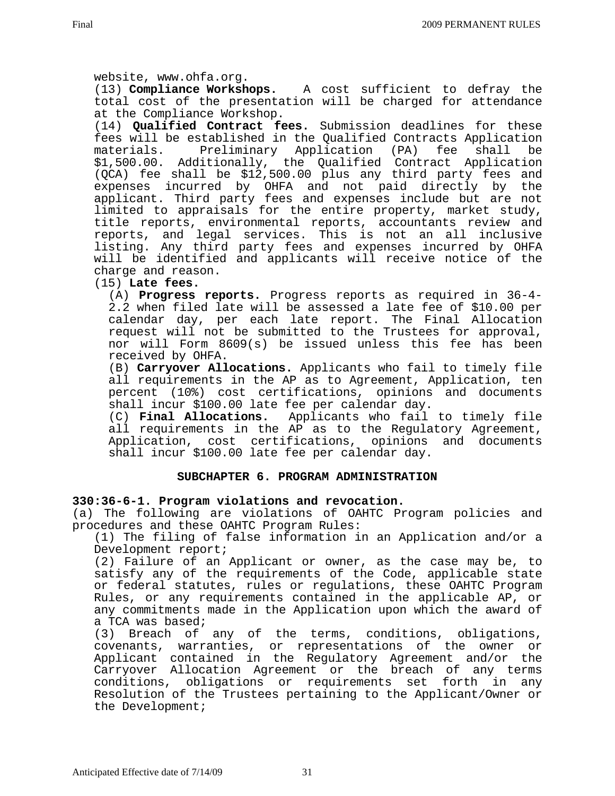website, www.ohfa.org.

(13) **Compliance Workshops.** A cost sufficient to defray the total cost of the presentation will be charged for attendance at the Compliance Workshop.

(14) **Qualified Contract fees.** Submission deadlines for these fees will be established in the Qualified Contracts Application materials. Preliminary Application (PA) fee shall be \$1,500.00. Additionally, the Qualified Contract Application (QCA) fee shall be \$12,500.00 plus any third party fees and expenses incurred by OHFA and not paid directly by the applicant. Third party fees and expenses include but are not limited to appraisals for the entire property, market study, title reports, environmental reports, accountants review and reports, and legal services. This is not an all inclusive listing. Any third party fees and expenses incurred by OHFA will be identified and applicants will receive notice of the charge and reason.

## (15) **Late fees.**

 (A) **Progress reports.** Progress reports as required in 36-4- 2.2 when filed late will be assessed a late fee of \$10.00 per calendar day, per each late report. The Final Allocation request will not be submitted to the Trustees for approval, nor will Form 8609(s) be issued unless this fee has been received by OHFA.

 (B) **Carryover Allocations.** Applicants who fail to timely file all requirements in the AP as to Agreement, Application, ten percent (10%) cost certifications, opinions and documents shall incur \$100.00 late fee per calendar day.

 (C) **Final Allocations.** Applicants who fail to timely file all requirements in the AP as to the Regulatory Agreement, Application, cost certifications, opinions and documents shall incur \$100.00 late fee per calendar day.

#### **SUBCHAPTER 6. PROGRAM ADMINISTRATION**

#### **330:36-6-1. Program violations and revocation.**

(a) The following are violations of OAHTC Program policies and procedures and these OAHTC Program Rules:

(1) The filing of false information in an Application and/or a Development report;

(2) Failure of an Applicant or owner, as the case may be, to satisfy any of the requirements of the Code, applicable state or federal statutes, rules or regulations, these OAHTC Program Rules, or any requirements contained in the applicable AP, or any commitments made in the Application upon which the award of a TCA was based;

(3) Breach of any of the terms, conditions, obligations, covenants, warranties, or representations of the owner or Applicant contained in the Regulatory Agreement and/or the Carryover Allocation Agreement or the breach of any terms conditions, obligations or requirements set forth in any Resolution of the Trustees pertaining to the Applicant/Owner or the Development;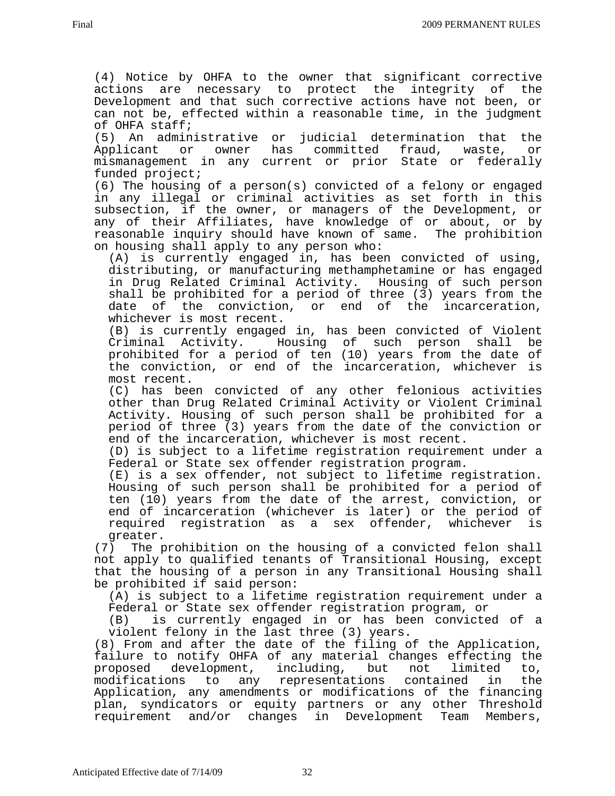(4) Notice by OHFA to the owner that significant corrective actions are necessary to protect the integrity of the Development and that such corrective actions have not been, or can not be, effected within a reasonable time, in the judgment of OHFA staff;

(5) An administrative or judicial determination that the Applicant or owner has committed fraud, waste, or mismanagement in any current or prior State or federally funded project;

(6) The housing of a person(s) convicted of a felony or engaged in any illegal or criminal activities as set forth in this subsection, if the owner, or managers of the Development, or any of their Affiliates, have knowledge of or about, or by reasonable inquiry should have known of same. The prohibition on housing shall apply to any person who:

(A) is currently engaged in, has been convicted of using, distributing, or manufacturing methamphetamine or has engaged in Drug Related Criminal Activity. Housing of such person shall be prohibited for a period of three (3) years from the date of the conviction, or end of the incarceration, whichever is most recent.

(B) is currently engaged in, has been convicted of Violent Criminal Activity. Housing of such person shall be prohibited for a period of ten (10) years from the date of the conviction, or end of the incarceration, whichever is most recent.

(C) has been convicted of any other felonious activities other than Drug Related Criminal Activity or Violent Criminal Activity. Housing of such person shall be prohibited for a period of three (3) years from the date of the conviction or end of the incarceration, whichever is most recent.

(D) is subject to a lifetime registration requirement under a Federal or State sex offender registration program.

(E) is a sex offender, not subject to lifetime registration. Housing of such person shall be prohibited for a period of ten (10) years from the date of the arrest, conviction, or end of incarceration (whichever is later) or the period of required registration as a sex offender, whichever is greater.

(7) The prohibition on the housing of a convicted felon shall not apply to qualified tenants of Transitional Housing, except that the housing of a person in any Transitional Housing shall be prohibited if said person:

(A) is subject to a lifetime registration requirement under a Federal or State sex offender registration program, or

(B) is currently engaged in or has been convicted of a violent felony in the last three (3) years.

(8) From and after the date of the filing of the Application, failure to notify OHFA of any material changes effecting the proposed development, including, but not limited to, modifications to any representations contained in the Application, any amendments or modifications of the financing plan, syndicators or equity partners or any other Threshold requirement and/or changes in Development Team Members,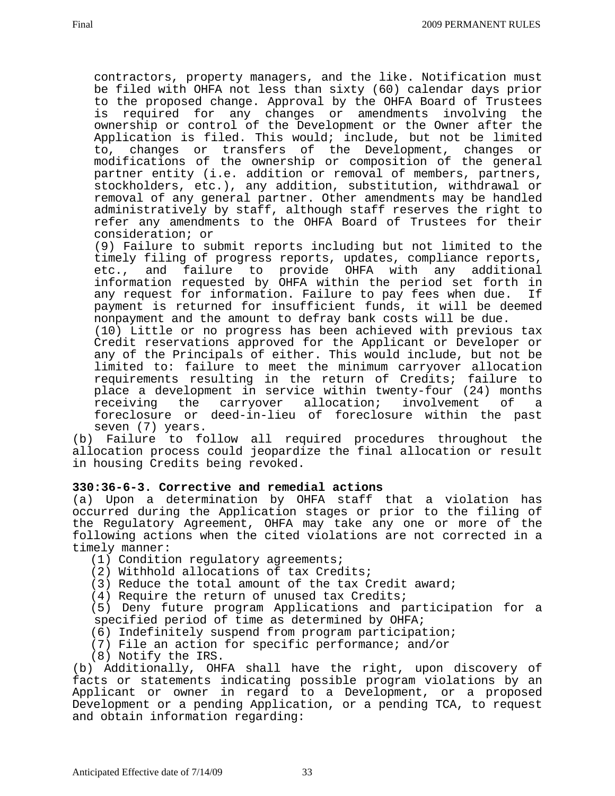contractors, property managers, and the like. Notification must be filed with OHFA not less than sixty (60) calendar days prior to the proposed change. Approval by the OHFA Board of Trustees is required for any changes or amendments involving the ownership or control of the Development or the Owner after the Application is filed. This would; include, but not be limited to, changes or transfers of the Development, changes or modifications of the ownership or composition of the general partner entity (i.e. addition or removal of members, partners, stockholders, etc.), any addition, substitution, withdrawal or removal of any general partner. Other amendments may be handled administratively by staff, although staff reserves the right to refer any amendments to the OHFA Board of Trustees for their consideration; or

(9) Failure to submit reports including but not limited to the timely filing of progress reports, updates, compliance reports, etc., and failure to provide OHFA with any additional information requested by OHFA within the period set forth in any request for information. Failure to pay fees when due. If payment is returned for insufficient funds, it will be deemed nonpayment and the amount to defray bank costs will be due.

(10) Little or no progress has been achieved with previous tax Credit reservations approved for the Applicant or Developer or any of the Principals of either. This would include, but not be limited to: failure to meet the minimum carryover allocation requirements resulting in the return of Credits; failure to place a development in service within twenty-four (24) months<br>receiving the carryover allocation; involvement of a receiving the carryover allocation; involvement of a foreclosure or deed-in-lieu of foreclosure within the past seven (7) years.

(b) Failure to follow all required procedures throughout the allocation process could jeopardize the final allocation or result in housing Credits being revoked.

## **330:36-6-3. Corrective and remedial actions**

(a) Upon a determination by OHFA staff that a violation has occurred during the Application stages or prior to the filing of the Regulatory Agreement, OHFA may take any one or more of the following actions when the cited violations are not corrected in a timely manner:

- (1) Condition regulatory agreements;
- (2) Withhold allocations of tax Credits;
- (3) Reduce the total amount of the tax Credit award;
- (4) Require the return of unused tax Credits;

 (5) Deny future program Applications and participation for a specified period of time as determined by OHFA;

- (6) Indefinitely suspend from program participation;
- (7) File an action for specific performance; and/or
- (8) Notify the IRS.

(b) Additionally, OHFA shall have the right, upon discovery of facts or statements indicating possible program violations by an Applicant or owner in regard to a Development, or a proposed Development or a pending Application, or a pending TCA, to request and obtain information regarding: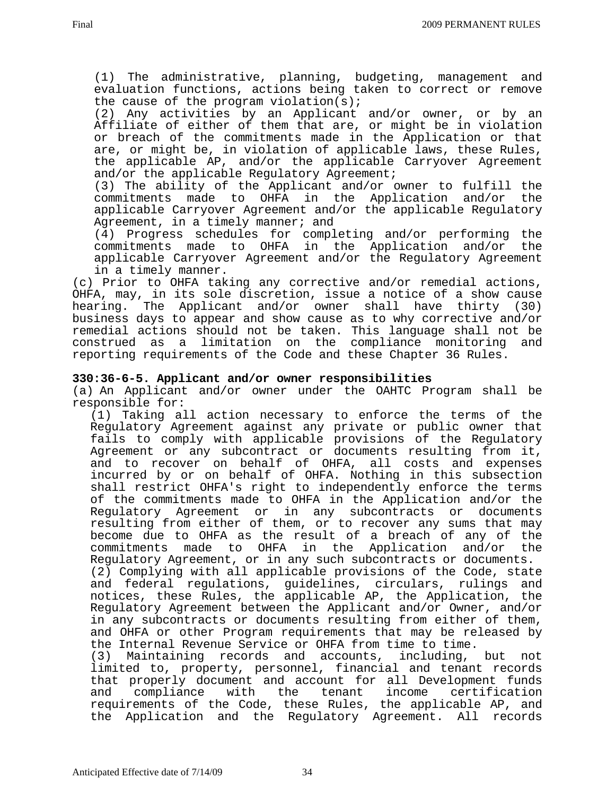(1) The administrative, planning, budgeting, management and evaluation functions, actions being taken to correct or remove the cause of the program violation(s);

(2) Any activities by an Applicant and/or owner, or by an Affiliate of either of them that are, or might be in violation or breach of the commitments made in the Application or that are, or might be, in violation of applicable laws, these Rules, the applicable AP, and/or the applicable Carryover Agreement and/or the applicable Regulatory Agreement;

(3) The ability of the Applicant and/or owner to fulfill the commitments made to OHFA in the Application and/or the applicable Carryover Agreement and/or the applicable Regulatory Agreement, in a timely manner; and

(4) Progress schedules for completing and/or performing the commitments made to OHFA in the Application and/or the applicable Carryover Agreement and/or the Regulatory Agreement in a timely manner.

(c) Prior to OHFA taking any corrective and/or remedial actions, OHFA, may, in its sole discretion, issue a notice of a show cause hearing. The Applicant and/or owner shall have thirty (30) business days to appear and show cause as to why corrective and/or remedial actions should not be taken. This language shall not be construed as a limitation on the compliance monitoring and reporting requirements of the Code and these Chapter 36 Rules.

### **330:36-6-5. Applicant and/or owner responsibilities**

(a) An Applicant and/or owner under the OAHTC Program shall be responsible for:

 (1) Taking all action necessary to enforce the terms of the Regulatory Agreement against any private or public owner that fails to comply with applicable provisions of the Regulatory Agreement or any subcontract or documents resulting from it, and to recover on behalf of OHFA, all costs and expenses incurred by or on behalf of OHFA. Nothing in this subsection shall restrict OHFA's right to independently enforce the terms of the commitments made to OHFA in the Application and/or the Regulatory Agreement or in any subcontracts or documents resulting from either of them, or to recover any sums that may become due to OHFA as the result of a breach of any of the commitments made to OHFA in the Application and/or the Regulatory Agreement, or in any such subcontracts or documents. (2) Complying with all applicable provisions of the Code, state and federal regulations, guidelines, circulars, rulings and notices, these Rules, the applicable AP, the Application, the Regulatory Agreement between the Applicant and/or Owner, and/or in any subcontracts or documents resulting from either of them, and OHFA or other Program requirements that may be released by the Internal Revenue Service or OHFA from time to time. (3) Maintaining records and accounts, including, but not limited to, property, personnel, financial and tenant records that properly document and account for all Development funds

 and compliance with the tenant income certification requirements of the Code, these Rules, the applicable AP, and the Application and the Regulatory Agreement. All records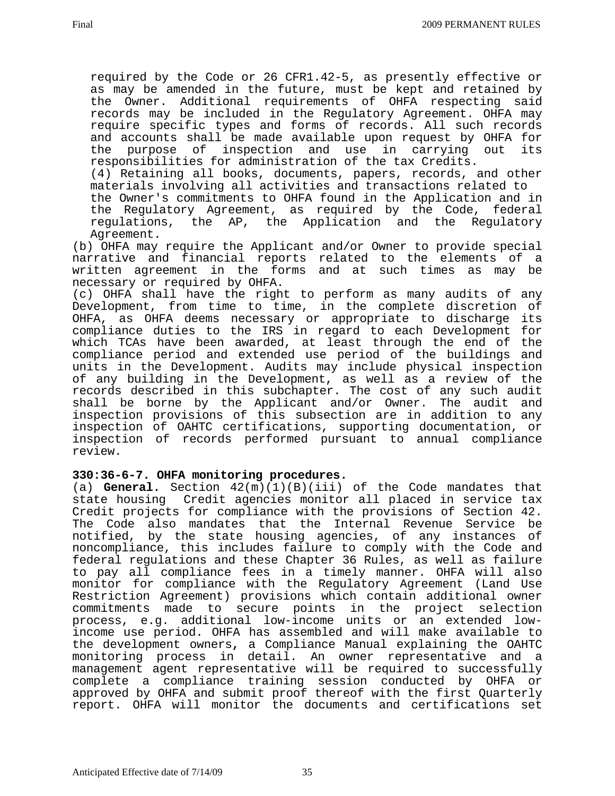required by the Code or 26 CFR1.42-5, as presently effective or as may be amended in the future, must be kept and retained by the Owner. Additional requirements of OHFA respecting said records may be included in the Regulatory Agreement. OHFA may require specific types and forms of records. All such records and accounts shall be made available upon request by OHFA for the purpose of inspection and use in carrying out its responsibilities for administration of the tax Credits.

 (4) Retaining all books, documents, papers, records, and other materials involving all activities and transactions related to

 the Owner's commitments to OHFA found in the Application and in the Regulatory Agreement, as required by the Code, federal regulations, the AP, the Application and the Regulatory Agreement.

(b) OHFA may require the Applicant and/or Owner to provide special narrative and financial reports related to the elements of a written agreement in the forms and at such times as may be necessary or required by OHFA.

(c) OHFA shall have the right to perform as many audits of any Development, from time to time, in the complete discretion of OHFA, as OHFA deems necessary or appropriate to discharge its compliance duties to the IRS in regard to each Development for which TCAs have been awarded, at least through the end of the compliance period and extended use period of the buildings and units in the Development. Audits may include physical inspection of any building in the Development, as well as a review of the records described in this subchapter. The cost of any such audit shall be borne by the Applicant and/or Owner. The audit and inspection provisions of this subsection are in addition to any inspection of OAHTC certifications, supporting documentation, or inspection of records performed pursuant to annual compliance review.

## **330:36-6-7. OHFA monitoring procedures.**

(a) **General.** Section 42(m)(1)(B)(iii) of the Code mandates that state housing Credit agencies monitor all placed in service tax Credit projects for compliance with the provisions of Section 42. The Code also mandates that the Internal Revenue Service be notified, by the state housing agencies, of any instances of noncompliance, this includes failure to comply with the Code and federal regulations and these Chapter 36 Rules, as well as failure to pay all compliance fees in a timely manner. OHFA will also monitor for compliance with the Regulatory Agreement (Land Use Restriction Agreement) provisions which contain additional owner commitments made to secure points in the project selection process, e.g. additional low-income units or an extended lowincome use period. OHFA has assembled and will make available to the development owners**,** a Compliance Manual explaining the OAHTC monitoring process in detail. An owner representative and a management agent representative will be required to successfully complete a compliance training session conducted by OHFA or approved by OHFA and submit proof thereof with the first Quarterly report. OHFA will monitor the documents and certifications set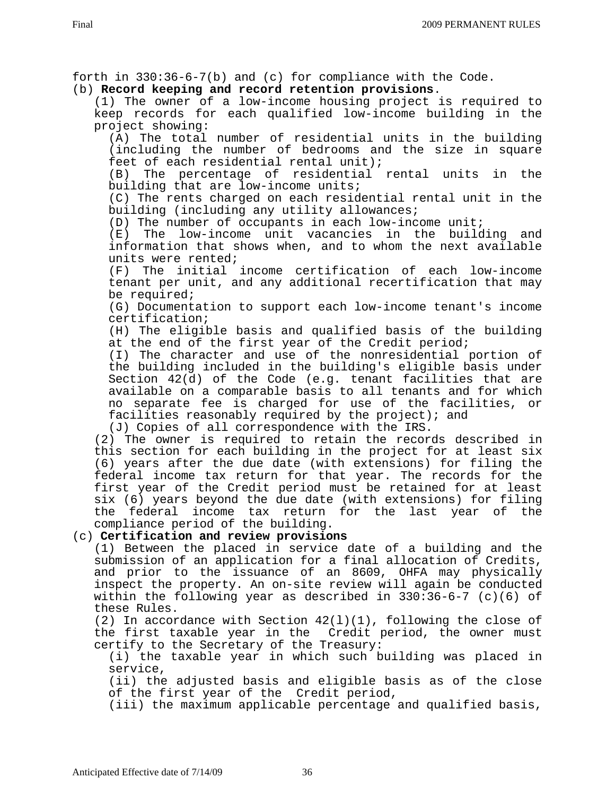forth in 330:36-6-7(b) and (c) for compliance with the Code.

### (b) **Record keeping and record retention provisions**.

(1) The owner of a low-income housing project is required to keep records for each qualified low-income building in the project showing:

(A) The total number of residential units in the building (including the number of bedrooms and the size in square feet of each residential rental unit);

(B) The percentage of residential rental units in the building that are low-income units;

(C) The rents charged on each residential rental unit in the building (including any utility allowances;

(D) The number of occupants in each low-income unit;

(E) The low-income unit vacancies in the building and information that shows when, and to whom the next available units were rented;

(F) The initial income certification of each low-income tenant per unit, and any additional recertification that may be required;

(G) Documentation to support each low-income tenant's income certification;

(H) The eligible basis and qualified basis of the building at the end of the first year of the Credit period;

(I) The character and use of the nonresidential portion of the building included in the building's eligible basis under Section 42(d) of the Code (e.g. tenant facilities that are available on a comparable basis to all tenants and for which no separate fee is charged for use of the facilities, or facilities reasonably required by the project); and

(J) Copies of all correspondence with the IRS.

(2) The owner is required to retain the records described in this section for each building in the project for at least six (6) years after the due date (with extensions) for filing the federal income tax return for that year. The records for the first year of the Credit period must be retained for at least six (6) years beyond the due date (with extensions) for filing the federal income tax return for the last year of the compliance period of the building.

## (c) **Certification and review provisions**

(1) Between the placed in service date of a building and the submission of an application for a final allocation of Credits, and prior to the issuance of an 8609, OHFA may physically inspect the property. An on-site review will again be conducted within the following year as described in  $330:36-6-7$  (c)(6) of these Rules.

(2) In accordance with Section  $42(1)(1)$ , following the close of the first taxable year in the Credit period, the owner must certify to the Secretary of the Treasury:

(i) the taxable year in which such building was placed in service,

(ii) the adjusted basis and eligible basis as of the close of the first year of the Credit period,

(iii) the maximum applicable percentage and qualified basis,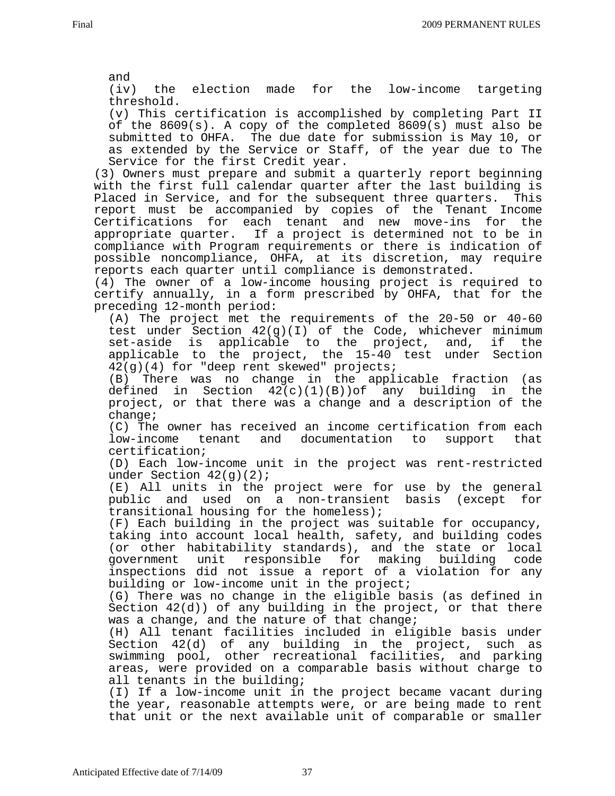and

(iv) the election made for the low-income targeting threshold.

(v) This certification is accomplished by completing Part II of the 8609(s). A copy of the completed 8609(s) must also be submitted to OHFA. The due date for submission is May 10, or as extended by the Service or Staff, of the year due to The Service for the first Credit year.

(3) Owners must prepare and submit a quarterly report beginning with the first full calendar quarter after the last building is Placed in Service, and for the subsequent three quarters. This report must be accompanied by copies of the Tenant Income Certifications for each tenant and new move-ins for the appropriate quarter. If a project is determined not to be in compliance with Program requirements or there is indication of possible noncompliance, OHFA, at its discretion, may require reports each quarter until compliance is demonstrated.

(4) The owner of a low-income housing project is required to certify annually, in a form prescribed by OHFA, that for the preceding 12-month period:

(A) The project met the requirements of the 20-50 or 40-60 test under Section 42(g)(I) of the Code, whichever minimum set-aside is applicable to the project, and, if the applicable to the project, the 15-40 test under Section 42(g)(4) for "deep rent skewed" projects;

(B) There was no change in the applicable fraction (as defined in Section 42(c)(1)(B))of any building in the project, or that there was a change and a description of the change;

(C) The owner has received an income certification from each low-income tenant and documentation to support that certification;

(D) Each low-income unit in the project was rent-restricted under Section  $42(g)(2)$ ;

(E) All units in the project were for use by the general public and used on a non-transient basis (except for transitional housing for the homeless);

(F) Each building in the project was suitable for occupancy, taking into account local health, safety, and building codes (or other habitability standards), and the state or local government unit responsible for making building code inspections did not issue a report of a violation for any building or low-income unit in the project;

(G) There was no change in the eligible basis (as defined in Section 42(d)) of any building in the project, or that there was a change, and the nature of that change;

(H) All tenant facilities included in eligible basis under Section 42(d) of any building in the project, such as swimming pool, other recreational facilities, and parking areas, were provided on a comparable basis without charge to all tenants in the building;

(I) If a low-income unit in the project became vacant during the year, reasonable attempts were, or are being made to rent that unit or the next available unit of comparable or smaller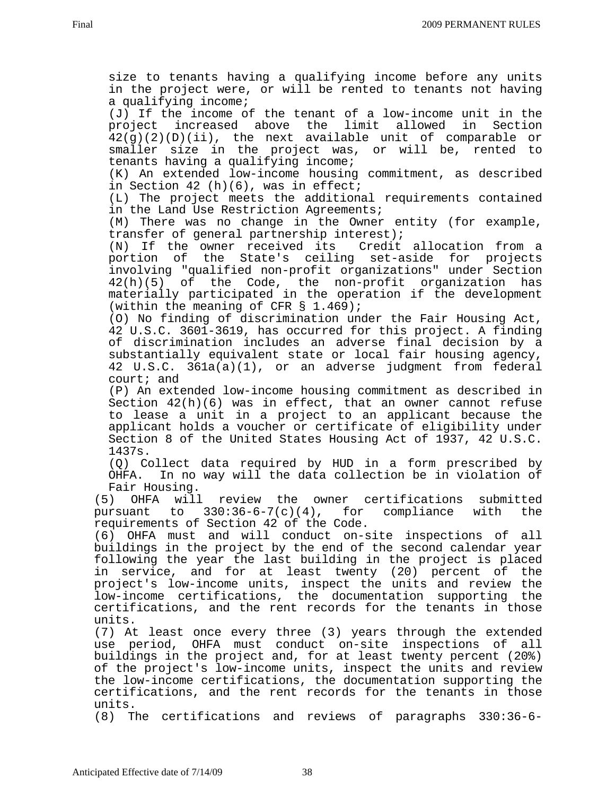size to tenants having a qualifying income before any units in the project were, or will be rented to tenants not having a qualifying income; (J) If the income of the tenant of a low-income unit in the project increased above the limit allowed in Section 42(g)(2)(D)(ii), the next available unit of comparable or smaller size in the project was, or will be, rented to tenants having a qualifying income; (K) An extended low-income housing commitment, as described in Section 42 (h)(6), was in effect; (L) The project meets the additional requirements contained in the Land Use Restriction Agreements; (M) There was no change in the Owner entity (for example, transfer of general partnership interest); (N) If the owner received its Credit allocation from a portion of the State's ceiling set-aside for projects involving "qualified non-profit organizations" under Section 42(h)(5) of the Code, the non-profit organization has materially participated in the operation if the development (within the meaning of CFR  $\S$  1.469); (O) No finding of discrimination under the Fair Housing Act, 42 U.S.C. 3601-3619, has occurred for this project. A finding of discrimination includes an adverse final decision by a substantially equivalent state or local fair housing agency, 42 U.S.C. 361a(a)(1), or an adverse judgment from federal court; and (P) An extended low-income housing commitment as described in Section  $42(h)(6)$  was in effect, that an owner cannot refuse to lease a unit in a project to an applicant because the applicant holds a voucher or certificate of eligibility under Section 8 of the United States Housing Act of 1937, 42 U.S.C. 1437s. (Q) Collect data required by HUD in a form prescribed by OHFA. In no way will the data collection be in violation of Fair Housing. (5) OHFA will review the owner certifications submitted pursuant to 330:36-6-7(c)(4), for compliance with the requirements of Section 42 of the Code. (6) OHFA must and will conduct on-site inspections of all buildings in the project by the end of the second calendar year following the year the last building in the project is placed in service, and for at least twenty (20) percent of the project's low-income units, inspect the units and review the low-income certifications, the documentation supporting the certifications, and the rent records for the tenants in those units. (7) At least once every three (3) years through the extended use period, OHFA must conduct on-site inspections of all buildings in the project and, for at least twenty percent (20%) of the project's low-income units, inspect the units and review the low-income certifications, the documentation supporting the certifications, and the rent records for the tenants in those units. (8) The certifications and reviews of paragraphs 330:36-6-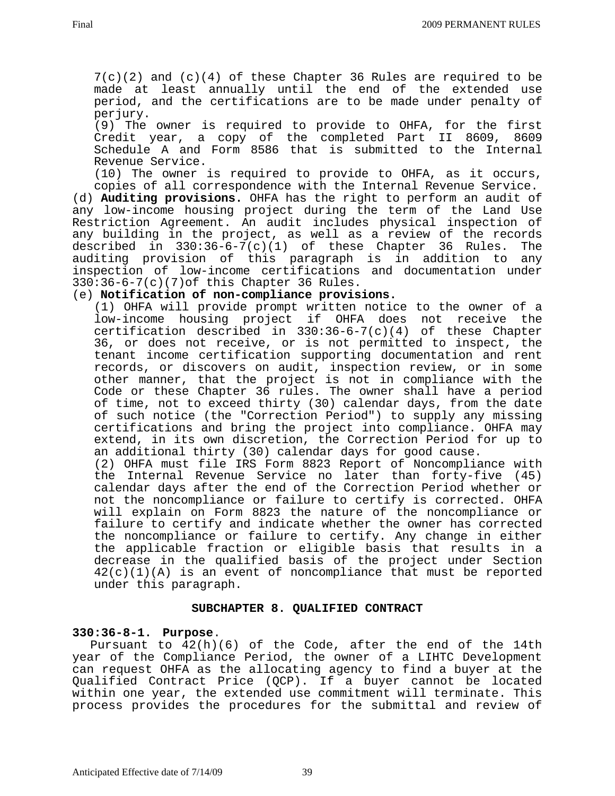$7(c)(2)$  and  $(c)(4)$  of these Chapter 36 Rules are required to be made at least annually until the end of the extended use period, and the certifications are to be made under penalty of perjury.

(9) The owner is required to provide to OHFA, for the first Credit year, a copy of the completed Part II 8609, 8609 Schedule A and Form 8586 that is submitted to the Internal Revenue Service.

(10) The owner is required to provide to OHFA, as it occurs, copies of all correspondence with the Internal Revenue Service.

(d) **Auditing provisions.** OHFA has the right to perform an audit of any low-income housing project during the term of the Land Use Restriction Agreement. An audit includes physical inspection of any building in the project, as well as a review of the records described in 330:36-6-7(c)(1) of these Chapter 36 Rules. The auditing provision of this paragraph is in addition to any inspection of low-income certifications and documentation under 330:36-6-7(c)(7)of this Chapter 36 Rules.

### (e) **Notification of non-compliance provisions.**

(1) OHFA will provide prompt written notice to the owner of a low-income housing project if OHFA does not receive the certification described in  $330:36-6-7(c)(4)$  of these Chapter 36, or does not receive, or is not permitted to inspect, the tenant income certification supporting documentation and rent records, or discovers on audit, inspection review, or in some other manner, that the project is not in compliance with the Code or these Chapter 36 rules. The owner shall have a period of time, not to exceed thirty (30) calendar days, from the date of such notice (the "Correction Period") to supply any missing certifications and bring the project into compliance. OHFA may extend, in its own discretion, the Correction Period for up to an additional thirty (30) calendar days for good cause.

(2) OHFA must file IRS Form 8823 Report of Noncompliance with the Internal Revenue Service no later than forty-five (45) calendar days after the end of the Correction Period whether or not the noncompliance or failure to certify is corrected. OHFA will explain on Form 8823 the nature of the noncompliance or failure to certify and indicate whether the owner has corrected the noncompliance or failure to certify. Any change in either the applicable fraction or eligible basis that results in a decrease in the qualified basis of the project under Section  $42(c)(1)(A)$  is an event of noncompliance that must be reported under this paragraph.

#### **SUBCHAPTER 8. QUALIFIED CONTRACT**

## **330:36-8-1. Purpose**.

 Pursuant to 42(h)(6) of the Code, after the end of the 14th year of the Compliance Period, the owner of a LIHTC Development can request OHFA as the allocating agency to find a buyer at the Qualified Contract Price (QCP). If a buyer cannot be located within one year, the extended use commitment will terminate. This process provides the procedures for the submittal and review of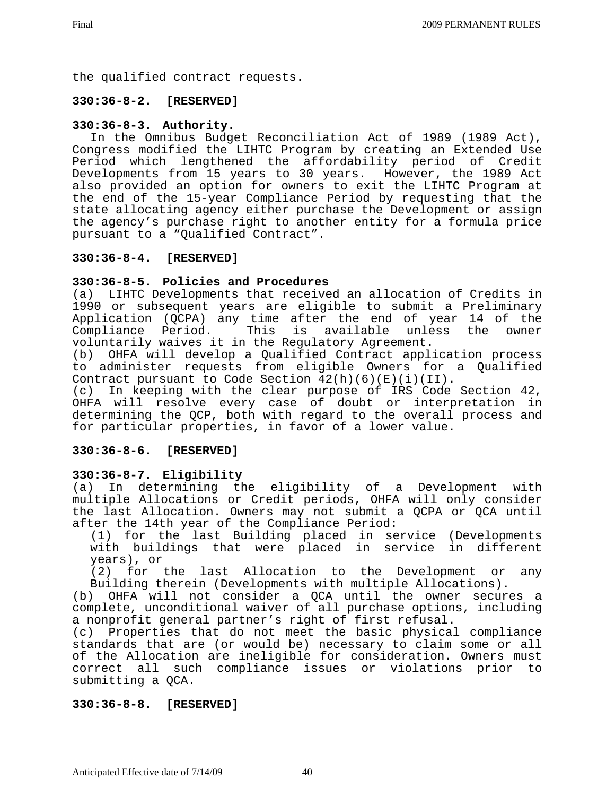the qualified contract requests.

# **330:36-8-2. [RESERVED]**

# **330:36-8-3. Authority.**

 In the Omnibus Budget Reconciliation Act of 1989 (1989 Act), Congress modified the LIHTC Program by creating an Extended Use Period which lengthened the affordability period of Credit Developments from 15 years to 30 years. However, the 1989 Act also provided an option for owners to exit the LIHTC Program at the end of the 15-year Compliance Period by requesting that the state allocating agency either purchase the Development or assign the agency's purchase right to another entity for a formula price pursuant to a "Qualified Contract".

## **330:36-8-4. [RESERVED]**

## **330:36-8-5. Policies and Procedures**

(a) LIHTC Developments that received an allocation of Credits in 1990 or subsequent years are eligible to submit a Preliminary Application (QCPA) any time after the end of year 14 of the Compliance Period. This is available unless the owner voluntarily waives it in the Regulatory Agreement.

(b) OHFA will develop a Qualified Contract application process to administer requests from eligible Owners for a Qualified Contract pursuant to Code Section  $42(h)(6)(E)(i)(II)$ .

(c) In keeping with the clear purpose of IRS Code Section 42, OHFA will resolve every case of doubt or interpretation in determining the QCP, both with regard to the overall process and for particular properties, in favor of a lower value.

## **330:36-8-6. [RESERVED]**

## **330:36-8-7. Eligibility**

(a) In determining the eligibility of a Development with multiple Allocations or Credit periods, OHFA will only consider the last Allocation. Owners may not submit a QCPA or QCA until after the 14th year of the Compliance Period:

 (1) for the last Building placed in service (Developments with buildings that were placed in service in different years), or

 (2) for the last Allocation to the Development or any Building therein (Developments with multiple Allocations).

(b) OHFA will not consider a QCA until the owner secures a complete, unconditional waiver of all purchase options, including a nonprofit general partner's right of first refusal.

(c) Properties that do not meet the basic physical compliance standards that are (or would be) necessary to claim some or all of the Allocation are ineligible for consideration. Owners must correct all such compliance issues or violations prior to submitting a QCA.

## **330:36-8-8. [RESERVED]**